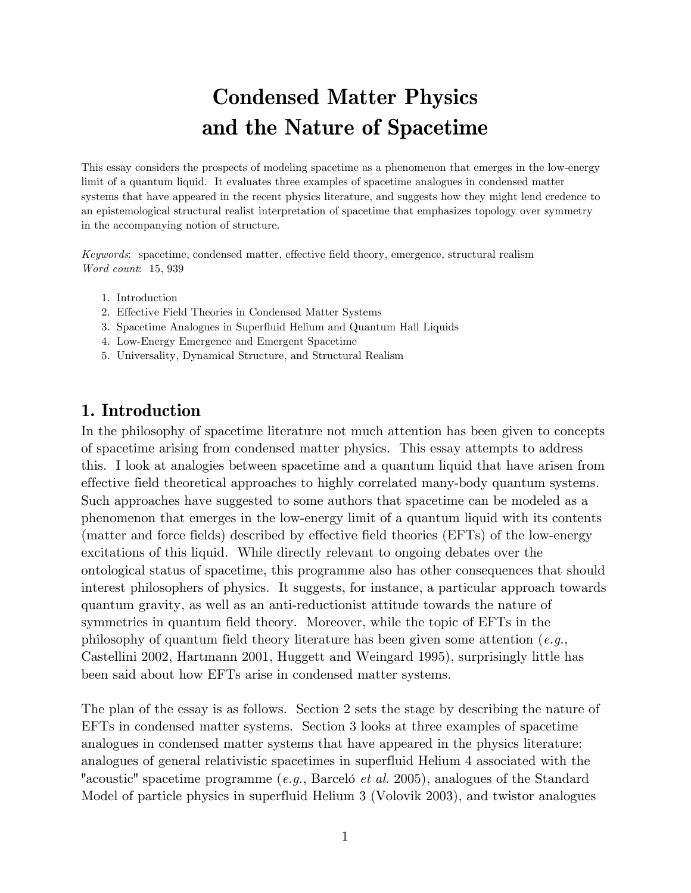# **Condensed Matter Physics and the Nature of Spacetime**

This essay considers the prospects of modeling spacetime as a phenomenon that emerges in the low-energy limit of a quantum liquid. It evaluates three examples of spacetime analogues in condensed matter systems that have appeared in the recent physics literature, and suggests how they might lend credence to an epistemological structural realist interpretation of spacetime that emphasizes topology over symmetry in the accompanying notion of structure.

*Keywords*: spacetime, condensed matter, effective field theory, emergence, structural realism *Word count*: 15, 939

- 1. Introduction
- 2. Effective Field Theories in Condensed Matter Systems
- 3. Spacetime Analogues in Superfluid Helium and Quantum Hall Liquids
- 4. Low-Energy Emergence and Emergent Spacetime
- 5. Universality, Dynamical Structure, and Structural Realism

# **1. Introduction**

In the philosophy of spacetime literature not much attention has been given to concepts of spacetime arising from condensed matter physics. This essay attempts to address this. I look at analogies between spacetime and a quantum liquid that have arisen from effective field theoretical approaches to highly correlated many-body quantum systems. Such approaches have suggested to some authors that spacetime can be modeled as a phenomenon that emerges in the low-energy limit of a quantum liquid with its contents (matter and force fields) described by effective field theories (EFTs) of the low-energy excitations of this liquid. While directly relevant to ongoing debates over the ontological status of spacetime, this programme also has other consequences that should interest philosophers of physics. It suggests, for instance, a particular approach towards quantum gravity, as well as an anti-reductionist attitude towards the nature of symmetries in quantum field theory. Moreover, while the topic of EFTs in the philosophy of quantum field theory literature has been given some attention (*e.g.*, Castellini 2002, Hartmann 2001, Huggett and Weingard 1995), surprisingly little has been said about how EFTs arise in condensed matter systems.

The plan of the essay is as follows. Section 2 sets the stage by describing the nature of EFTs in condensed matter systems. Section 3 looks at three examples of spacetime analogues in condensed matter systems that have appeared in the physics literature: analogues of general relativistic spacetimes in superfluid Helium 4 associated with the "acoustic" spacetime programme (*e.g.*, Barceló *et al.* 2005), analogues of the Standard Model of particle physics in superfluid Helium 3 (Volovik 2003), and twistor analogues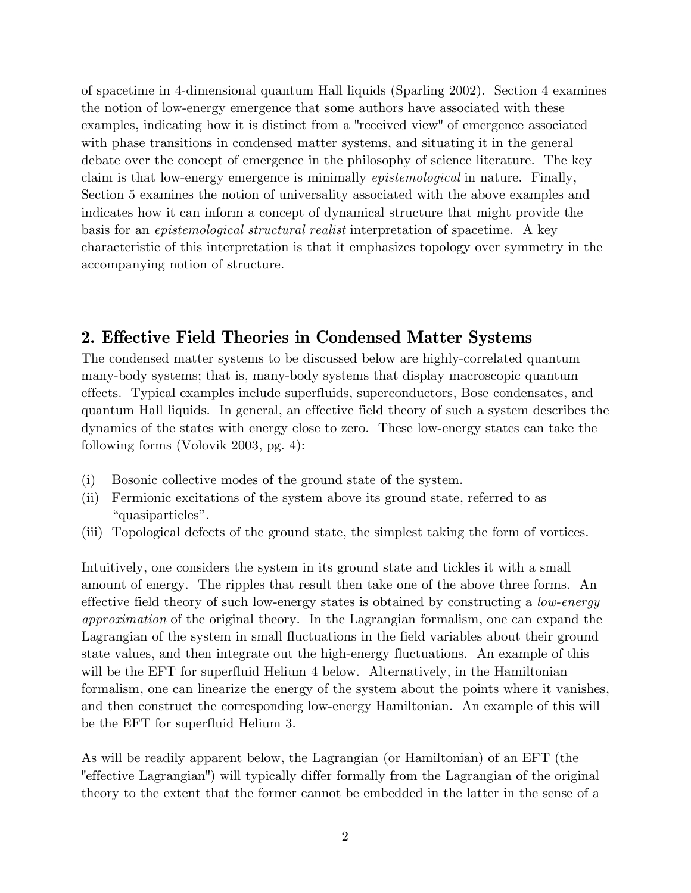of spacetime in 4-dimensional quantum Hall liquids (Sparling 2002). Section 4 examines the notion of low-energy emergence that some authors have associated with these examples, indicating how it is distinct from a "received view" of emergence associated with phase transitions in condensed matter systems, and situating it in the general debate over the concept of emergence in the philosophy of science literature. The key claim is that low-energy emergence is minimally *epistemological* in nature. Finally, Section 5 examines the notion of universality associated with the above examples and indicates how it can inform a concept of dynamical structure that might provide the basis for an *epistemological structural realist* interpretation of spacetime. A key characteristic of this interpretation is that it emphasizes topology over symmetry in the accompanying notion of structure.

# **2. Effective Field Theories in Condensed Matter Systems**

The condensed matter systems to be discussed below are highly-correlated quantum many-body systems; that is, many-body systems that display macroscopic quantum effects. Typical examples include superfluids, superconductors, Bose condensates, and quantum Hall liquids. In general, an effective field theory of such a system describes the dynamics of the states with energy close to zero. These low-energy states can take the following forms (Volovik 2003, pg. 4):

- (i) Bosonic collective modes of the ground state of the system.
- (ii) Fermionic excitations of the system above its ground state, referred to as "quasiparticles".
- (iii) Topological defects of the ground state, the simplest taking the form of vortices.

Intuitively, one considers the system in its ground state and tickles it with a small amount of energy. The ripples that result then take one of the above three forms. An effective field theory of such low-energy states is obtained by constructing a *low-energy approximation* of the original theory. In the Lagrangian formalism, one can expand the Lagrangian of the system in small fluctuations in the field variables about their ground state values, and then integrate out the high-energy fluctuations. An example of this will be the EFT for superfluid Helium 4 below. Alternatively, in the Hamiltonian formalism, one can linearize the energy of the system about the points where it vanishes, and then construct the corresponding low-energy Hamiltonian. An example of this will be the EFT for superfluid Helium 3.

As will be readily apparent below, the Lagrangian (or Hamiltonian) of an EFT (the "effective Lagrangian") will typically differ formally from the Lagrangian of the original theory to the extent that the former cannot be embedded in the latter in the sense of a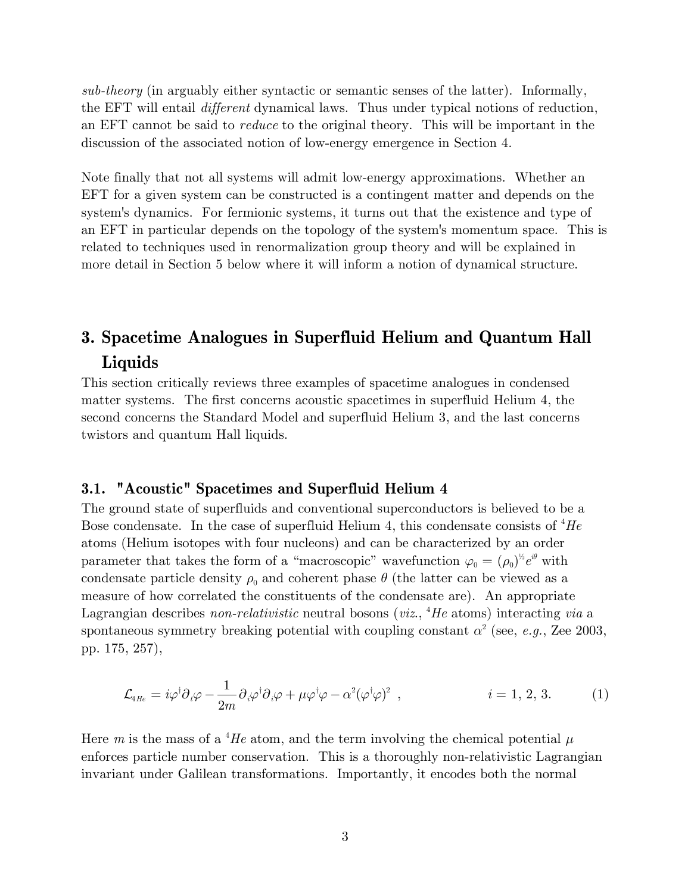*sub-theory* (in arguably either syntactic or semantic senses of the latter). Informally, the EFT will entail *different* dynamical laws. Thus under typical notions of reduction, an EFT cannot be said to *reduce* to the original theory. This will be important in the discussion of the associated notion of low-energy emergence in Section 4.

Note finally that not all systems will admit low-energy approximations. Whether an EFT for a given system can be constructed is a contingent matter and depends on the system's dynamics. For fermionic systems, it turns out that the existence and type of an EFT in particular depends on the topology of the system's momentum space. This is related to techniques used in renormalization group theory and will be explained in more detail in Section 5 below where it will inform a notion of dynamical structure.

# **3. Spacetime Analogues in Superfluid Helium and Quantum Hall Liquids**

This section critically reviews three examples of spacetime analogues in condensed matter systems. The first concerns acoustic spacetimes in superfluid Helium 4, the second concerns the Standard Model and superfluid Helium 3, and the last concerns twistors and quantum Hall liquids.

### **3.1. "Acoustic" Spacetimes and Superfluid Helium 4**

The ground state of superfluids and conventional superconductors is believed to be a Bose condensate. In the case of superfluid Helium 4, this condensate consists of <sup>4</sup>He atoms (Helium isotopes with four nucleons) and can be characterized by an order parameter that takes the form of a "macroscopic" wavefunction  $\varphi_0 = (\rho_0)^{\frac{1}{2}} e^{i\theta}$  with condensate particle density  $\rho_0$  and coherent phase  $\theta$  (the latter can be viewed as a measure of how correlated the constituents of the condensate are). An appropriate Lagrangian describes *non-relativistic* neutral bosons (*viz.*, <sup>4</sup>He atoms) interacting *via* a spontaneous symmetry breaking potential with coupling constant  $\alpha^2$  (see, *e.g.*, Zee 2003, pp. 175, 257),

$$
\mathcal{L}_{4He} = i\varphi^{\dagger}\partial_{i}\varphi - \frac{1}{2m}\partial_{i}\varphi^{\dagger}\partial_{i}\varphi + \mu\varphi^{\dagger}\varphi - \alpha^{2}(\varphi^{\dagger}\varphi)^{2} , \qquad i = 1, 2, 3. \qquad (1)
$$

Here *m* is the mass of a <sup>4</sup>He atom, and the term involving the chemical potential  $\mu$ enforces particle number conservation. This is a thoroughly non-relativistic Lagrangian invariant under Galilean transformations. Importantly, it encodes both the normal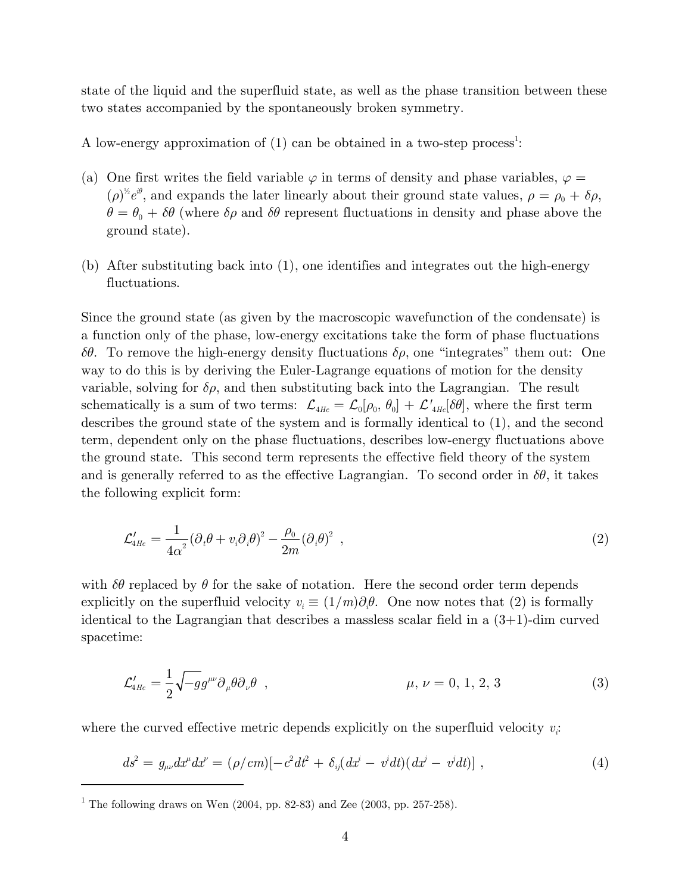state of the liquid and the superfluid state, as well as the phase transition between these two states accompanied by the spontaneously broken symmetry.

A low-energy approximation of  $(1)$  can be obtained in a two-step process<sup>1</sup>:

- (a) One first writes the field variable  $\varphi$  in terms of density and phase variables,  $\varphi =$  $(\rho)^{\mathcal{B}} e^{i\theta}$ , and expands the later linearly about their ground state values,  $\rho = \rho_0 + \delta \rho$ ,  $\theta = \theta_0 + \delta\theta$  (where  $\delta\rho$  and  $\delta\theta$  represent fluctuations in density and phase above the ground state).
- (b) After substituting back into (1), one identifies and integrates out the high-energy fluctuations.

Since the ground state (as given by the macroscopic wavefunction of the condensate) is a function only of the phase, low-energy excitations take the form of phase fluctuations *δθ*. To remove the high-energy density fluctuations *δρ*, one "integrates" them out: One way to do this is by deriving the Euler-Lagrange equations of motion for the density variable, solving for  $\delta \rho$ , and then substituting back into the Lagrangian. The result schematically is a sum of two terms:  $\mathcal{L}_{4He} = \mathcal{L}_{0}[\rho_0, \theta_0] + \mathcal{L}'_{4He}[\delta\theta]$ , where the first term describes the ground state of the system and is formally identical to (1), and the second term, dependent only on the phase fluctuations, describes low-energy fluctuations above the ground state. This second term represents the effective field theory of the system and is generally referred to as the effective Lagrangian. To second order in  $\delta\theta$ , it takes the following explicit form:

$$
\mathcal{L}'_{4He} = \frac{1}{4\alpha^2} (\partial_i \theta + v_i \partial_i \theta)^2 - \frac{\rho_0}{2m} (\partial_i \theta)^2 \tag{2}
$$

with  $\delta\theta$  replaced by  $\theta$  for the sake of notation. Here the second order term depends explicitly on the superfluid velocity  $v_i \equiv (1/m)\partial_i \theta$ . One now notes that (2) is formally identical to the Lagrangian that describes a massless scalar field in a  $(3+1)$ -dim curved spacetime:

$$
\mathcal{L}'_{4He} = \frac{1}{2} \sqrt{-g} g^{\mu\nu} \partial_{\mu} \theta \partial_{\nu} \theta \quad , \qquad \mu, \nu = 0, 1, 2, 3 \tag{3}
$$

where the curved effective metric depends explicitly on the superfluid velocity  $v_i$ :

$$
ds^{2} = g_{\mu\nu}dx^{\mu}dx^{\nu} = (\rho/cm)[-c^{2}dt^{2} + \delta_{ij}(dx^{i} - v^{i}dt)(dx^{j} - v^{j}dt)],
$$
\n(4)

 $\overline{1}$ <sup>1</sup> The following draws on Wen  $(2004, pp. 82-83)$  and Zee  $(2003, pp. 257-258)$ .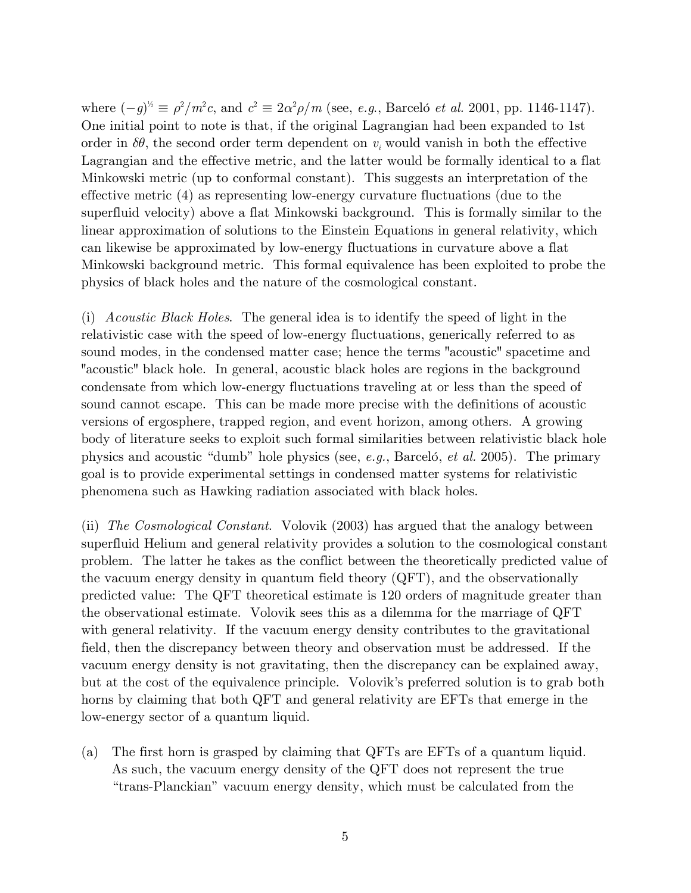where  $(-g)^{1/2} \equiv \rho^2/m^2 c$ , and  $c^2 \equiv 2\alpha^2 \rho/m$  (see, *e.g.*, Barceló *et al.* 2001, pp. 1146-1147). One initial point to note is that, if the original Lagrangian had been expanded to 1st order in  $\delta\theta$ , the second order term dependent on  $v_i$  would vanish in both the effective Lagrangian and the effective metric, and the latter would be formally identical to a flat Minkowski metric (up to conformal constant). This suggests an interpretation of the effective metric (4) as representing low-energy curvature fluctuations (due to the superfluid velocity) above a flat Minkowski background. This is formally similar to the linear approximation of solutions to the Einstein Equations in general relativity, which can likewise be approximated by low-energy fluctuations in curvature above a flat Minkowski background metric. This formal equivalence has been exploited to probe the physics of black holes and the nature of the cosmological constant.

(i) *Acoustic Black Holes*. The general idea is to identify the speed of light in the relativistic case with the speed of low-energy fluctuations, generically referred to as sound modes, in the condensed matter case; hence the terms "acoustic" spacetime and "acoustic" black hole. In general, acoustic black holes are regions in the background condensate from which low-energy fluctuations traveling at or less than the speed of sound cannot escape. This can be made more precise with the definitions of acoustic versions of ergosphere, trapped region, and event horizon, among others. A growing body of literature seeks to exploit such formal similarities between relativistic black hole physics and acoustic "dumb" hole physics (see, *e.g.*, Barceló, *et al.* 2005). The primary goal is to provide experimental settings in condensed matter systems for relativistic phenomena such as Hawking radiation associated with black holes.

(ii) *The Cosmological Constant*. Volovik (2003) has argued that the analogy between superfluid Helium and general relativity provides a solution to the cosmological constant problem. The latter he takes as the conflict between the theoretically predicted value of the vacuum energy density in quantum field theory (QFT), and the observationally predicted value: The QFT theoretical estimate is 120 orders of magnitude greater than the observational estimate. Volovik sees this as a dilemma for the marriage of QFT with general relativity. If the vacuum energy density contributes to the gravitational field, then the discrepancy between theory and observation must be addressed. If the vacuum energy density is not gravitating, then the discrepancy can be explained away, but at the cost of the equivalence principle. Volovik's preferred solution is to grab both horns by claiming that both QFT and general relativity are EFTs that emerge in the low-energy sector of a quantum liquid.

(a) The first horn is grasped by claiming that QFTs are EFTs of a quantum liquid. As such, the vacuum energy density of the QFT does not represent the true "trans-Planckian" vacuum energy density, which must be calculated from the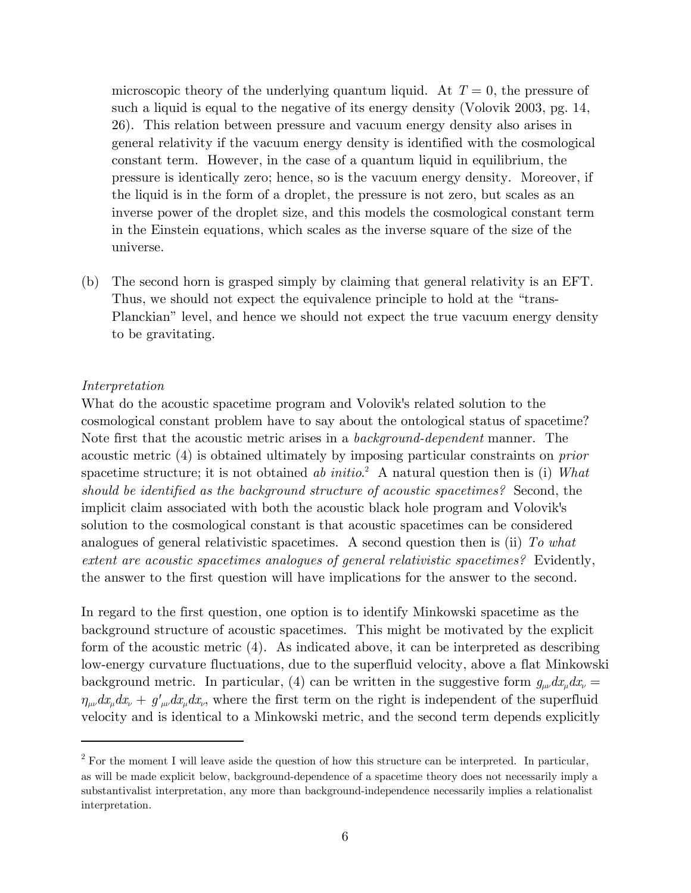microscopic theory of the underlying quantum liquid. At  $T = 0$ , the pressure of such a liquid is equal to the negative of its energy density (Volovik 2003, pg. 14, 26). This relation between pressure and vacuum energy density also arises in general relativity if the vacuum energy density is identified with the cosmological constant term. However, in the case of a quantum liquid in equilibrium, the pressure is identically zero; hence, so is the vacuum energy density. Moreover, if the liquid is in the form of a droplet, the pressure is not zero, but scales as an inverse power of the droplet size, and this models the cosmological constant term in the Einstein equations, which scales as the inverse square of the size of the universe.

(b) The second horn is grasped simply by claiming that general relativity is an EFT. Thus, we should not expect the equivalence principle to hold at the "trans-Planckian" level, and hence we should not expect the true vacuum energy density to be gravitating.

#### *Interpretation*

What do the acoustic spacetime program and Volovik's related solution to the cosmological constant problem have to say about the ontological status of spacetime? Note first that the acoustic metric arises in a *background-dependent* manner. The acoustic metric (4) is obtained ultimately by imposing particular constraints on *prior* spacetime structure; it is not obtained *ab initio*<sup>2</sup> A natural question then is (i) *What should be identified as the background structure of acoustic spacetimes?* Second, the implicit claim associated with both the acoustic black hole program and Volovik's solution to the cosmological constant is that acoustic spacetimes can be considered analogues of general relativistic spacetimes. A second question then is (ii) *To what extent are acoustic spacetimes analogues of general relativistic spacetimes?* Evidently, the answer to the first question will have implications for the answer to the second.

In regard to the first question, one option is to identify Minkowski spacetime as the background structure of acoustic spacetimes. This might be motivated by the explicit form of the acoustic metric (4). As indicated above, it can be interpreted as describing low-energy curvature fluctuations, due to the superfluid velocity, above a flat Minkowski background metric. In particular, (4) can be written in the suggestive form  $g_{\mu\nu}dx_{\nu} =$  $\eta_{\mu\nu}dx_{\nu}dx_{\nu} + g'_{\mu\nu}dx_{\nu}dx_{\nu}$ , where the first term on the right is independent of the superfluid velocity and is identical to a Minkowski metric, and the second term depends explicitly

 $\overline{a}$  $<sup>2</sup>$  For the moment I will leave aside the question of how this structure can be interpreted. In particular,</sup> as will be made explicit below, background-dependence of a spacetime theory does not necessarily imply a substantivalist interpretation, any more than background-independence necessarily implies a relationalist interpretation.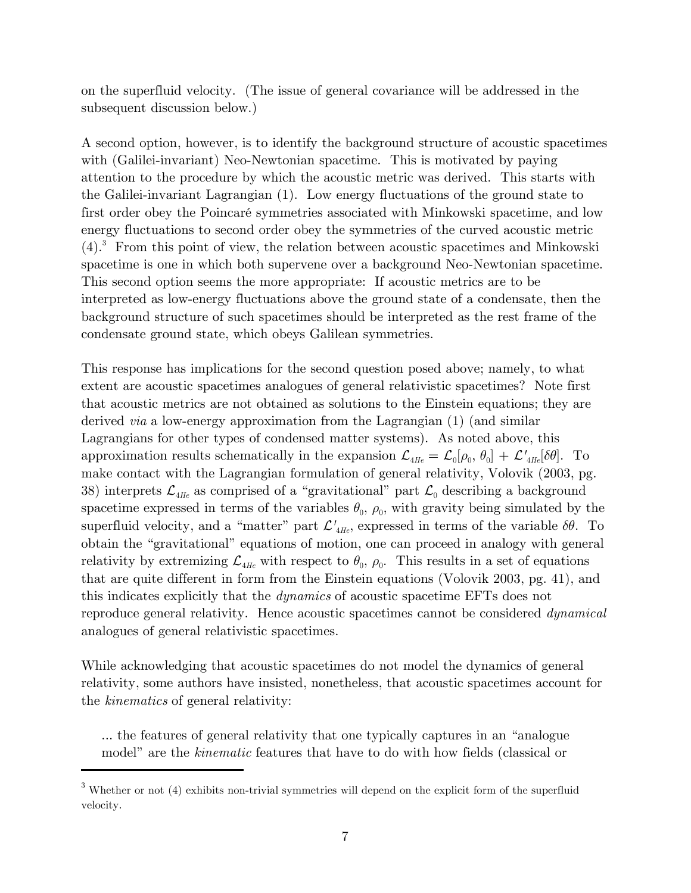on the superfluid velocity. (The issue of general covariance will be addressed in the subsequent discussion below.)

A second option, however, is to identify the background structure of acoustic spacetimes with (Galilei-invariant) Neo-Newtonian spacetime. This is motivated by paying attention to the procedure by which the acoustic metric was derived. This starts with the Galilei-invariant Lagrangian (1). Low energy fluctuations of the ground state to first order obey the Poincaré symmetries associated with Minkowski spacetime, and low energy fluctuations to second order obey the symmetries of the curved acoustic metric (4).3 From this point of view, the relation between acoustic spacetimes and Minkowski spacetime is one in which both supervene over a background Neo-Newtonian spacetime. This second option seems the more appropriate: If acoustic metrics are to be interpreted as low-energy fluctuations above the ground state of a condensate, then the background structure of such spacetimes should be interpreted as the rest frame of the condensate ground state, which obeys Galilean symmetries.

This response has implications for the second question posed above; namely, to what extent are acoustic spacetimes analogues of general relativistic spacetimes? Note first that acoustic metrics are not obtained as solutions to the Einstein equations; they are derived *via* a low-energy approximation from the Lagrangian (1) (and similar Lagrangians for other types of condensed matter systems). As noted above, this approximation results schematically in the expansion  $\mathcal{L}_{4He} = \mathcal{L}_0[\rho_0, \theta_0] + \mathcal{L}'_{4He}[\delta\theta]$ . To make contact with the Lagrangian formulation of general relativity, Volovik (2003, pg. 38) interprets  $\mathcal{L}_{4He}$  as comprised of a "gravitational" part  $\mathcal{L}_0$  describing a background spacetime expressed in terms of the variables  $\theta_0$ ,  $\rho_0$ , with gravity being simulated by the superfluid velocity, and a "matter" part  $\mathcal{L}'_{4He}$ , expressed in terms of the variable  $\delta\theta$ . To obtain the "gravitational" equations of motion, one can proceed in analogy with general relativity by extremizing  $\mathcal{L}_{4He}$  with respect to  $\theta_0$ ,  $\rho_0$ . This results in a set of equations that are quite different in form from the Einstein equations (Volovik 2003, pg. 41), and this indicates explicitly that the *dynamics* of acoustic spacetime EFTs does not reproduce general relativity. Hence acoustic spacetimes cannot be considered *dynamical* analogues of general relativistic spacetimes.

While acknowledging that acoustic spacetimes do not model the dynamics of general relativity, some authors have insisted, nonetheless, that acoustic spacetimes account for the *kinematics* of general relativity:

... the features of general relativity that one typically captures in an "analogue model" are the *kinematic* features that have to do with how fields (classical or

<sup>—&</sup>lt;br>3 <sup>3</sup> Whether or not (4) exhibits non-trivial symmetries will depend on the explicit form of the superfluid velocity.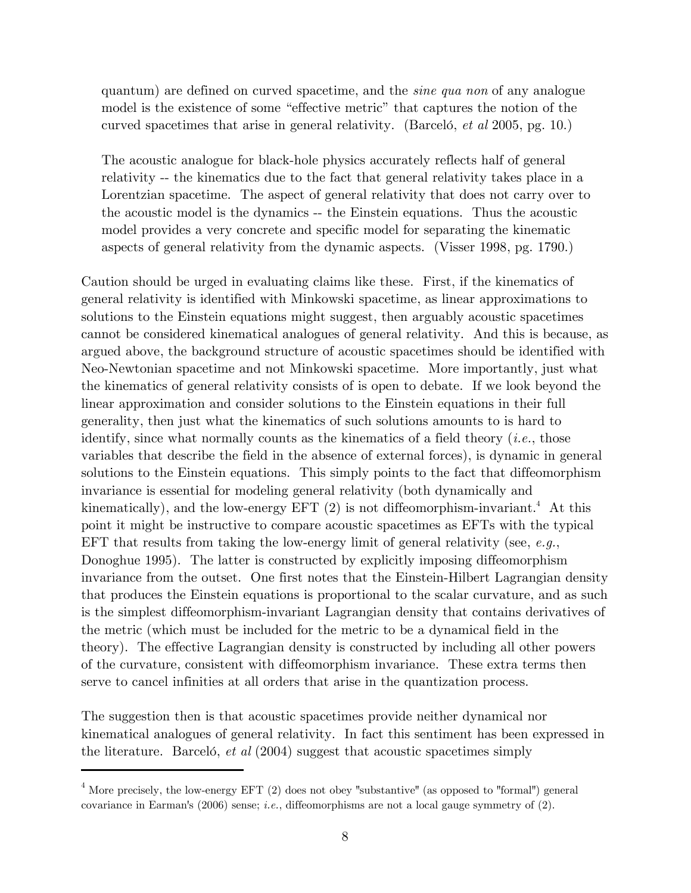quantum) are defined on curved spacetime, and the *sine qua non* of any analogue model is the existence of some "effective metric" that captures the notion of the curved spacetimes that arise in general relativity. (Barceló, *et al* 2005, pg. 10.)

The acoustic analogue for black-hole physics accurately reflects half of general relativity -- the kinematics due to the fact that general relativity takes place in a Lorentzian spacetime. The aspect of general relativity that does not carry over to the acoustic model is the dynamics -- the Einstein equations. Thus the acoustic model provides a very concrete and specific model for separating the kinematic aspects of general relativity from the dynamic aspects. (Visser 1998, pg. 1790.)

Caution should be urged in evaluating claims like these. First, if the kinematics of general relativity is identified with Minkowski spacetime, as linear approximations to solutions to the Einstein equations might suggest, then arguably acoustic spacetimes cannot be considered kinematical analogues of general relativity. And this is because, as argued above, the background structure of acoustic spacetimes should be identified with Neo-Newtonian spacetime and not Minkowski spacetime. More importantly, just what the kinematics of general relativity consists of is open to debate. If we look beyond the linear approximation and consider solutions to the Einstein equations in their full generality, then just what the kinematics of such solutions amounts to is hard to identify, since what normally counts as the kinematics of a field theory (*i.e.*, those variables that describe the field in the absence of external forces), is dynamic in general solutions to the Einstein equations. This simply points to the fact that diffeomorphism invariance is essential for modeling general relativity (both dynamically and kinematically), and the low-energy EFT  $(2)$  is not diffeomorphism-invariant.<sup>4</sup> At this point it might be instructive to compare acoustic spacetimes as EFTs with the typical EFT that results from taking the low-energy limit of general relativity (see, *e.g.*, Donoghue 1995). The latter is constructed by explicitly imposing diffeomorphism invariance from the outset. One first notes that the Einstein-Hilbert Lagrangian density that produces the Einstein equations is proportional to the scalar curvature, and as such is the simplest diffeomorphism-invariant Lagrangian density that contains derivatives of the metric (which must be included for the metric to be a dynamical field in the theory). The effective Lagrangian density is constructed by including all other powers of the curvature, consistent with diffeomorphism invariance. These extra terms then serve to cancel infinities at all orders that arise in the quantization process.

The suggestion then is that acoustic spacetimes provide neither dynamical nor kinematical analogues of general relativity. In fact this sentiment has been expressed in the literature. Barceló, *et al* (2004) suggest that acoustic spacetimes simply

 <sup>4</sup>  $4$  More precisely, the low-energy EFT (2) does not obey "substantive" (as opposed to "formal") general covariance in Earman's (2006) sense; *i.e.*, diffeomorphisms are not a local gauge symmetry of (2).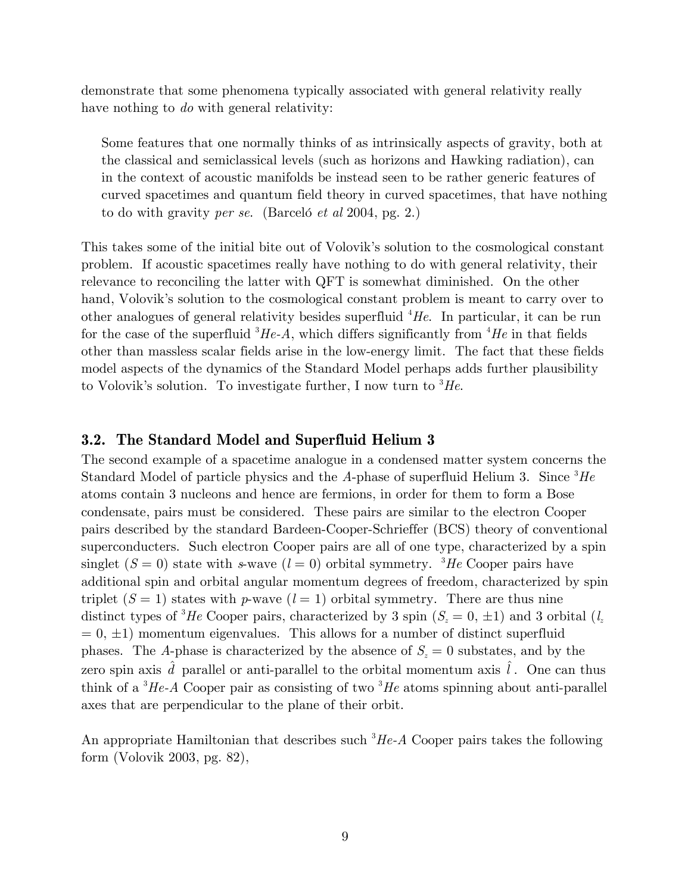demonstrate that some phenomena typically associated with general relativity really have nothing to *do* with general relativity:

Some features that one normally thinks of as intrinsically aspects of gravity, both at the classical and semiclassical levels (such as horizons and Hawking radiation), can in the context of acoustic manifolds be instead seen to be rather generic features of curved spacetimes and quantum field theory in curved spacetimes, that have nothing to do with gravity *per se*. (Barceló *et al* 2004, pg. 2.)

This takes some of the initial bite out of Volovik's solution to the cosmological constant problem. If acoustic spacetimes really have nothing to do with general relativity, their relevance to reconciling the latter with QFT is somewhat diminished. On the other hand, Volovik's solution to the cosmological constant problem is meant to carry over to other analogues of general relativity besides superfluid <sup>4</sup>He. In particular, it can be run for the case of the superfluid <sup>3</sup>He-A, which differs significantly from <sup>4</sup>He in that fields other than massless scalar fields arise in the low-energy limit. The fact that these fields model aspects of the dynamics of the Standard Model perhaps adds further plausibility to Volovik's solution. To investigate further, I now turn to <sup>3</sup>He.

### **3.2. The Standard Model and Superfluid Helium 3**

The second example of a spacetime analogue in a condensed matter system concerns the Standard Model of particle physics and the A-phase of superfluid Helium 3. Since <sup>3</sup>He atoms contain 3 nucleons and hence are fermions, in order for them to form a Bose condensate, pairs must be considered. These pairs are similar to the electron Cooper pairs described by the standard Bardeen-Cooper-Schrieffer (BCS) theory of conventional superconducters. Such electron Cooper pairs are all of one type, characterized by a spin singlet  $(S = 0)$  state with *s*-wave  $(l = 0)$  orbital symmetry. <sup>3</sup>He Cooper pairs have additional spin and orbital angular momentum degrees of freedom, characterized by spin triplet  $(S = 1)$  states with *p*-wave  $(l = 1)$  orbital symmetry. There are thus nine distinct types of <sup>3</sup>He Cooper pairs, characterized by 3 spin  $(S_z = 0, \pm 1)$  and 3 orbital  $(l_z$  $= 0, \pm 1$ ) momentum eigenvalues. This allows for a number of distinct superfluid phases. The *A*-phase is characterized by the absence of  $S_z = 0$  substates, and by the zero spin axis  $\hat{d}$  parallel or anti-parallel to the orbital momentum axis  $\hat{l}$  . One can thus think of a <sup>3</sup>He-A Cooper pair as consisting of two <sup>3</sup>He atoms spinning about anti-parallel axes that are perpendicular to the plane of their orbit.

An appropriate Hamiltonian that describes such <sup>3</sup>He-A Cooper pairs takes the following form (Volovik 2003, pg. 82),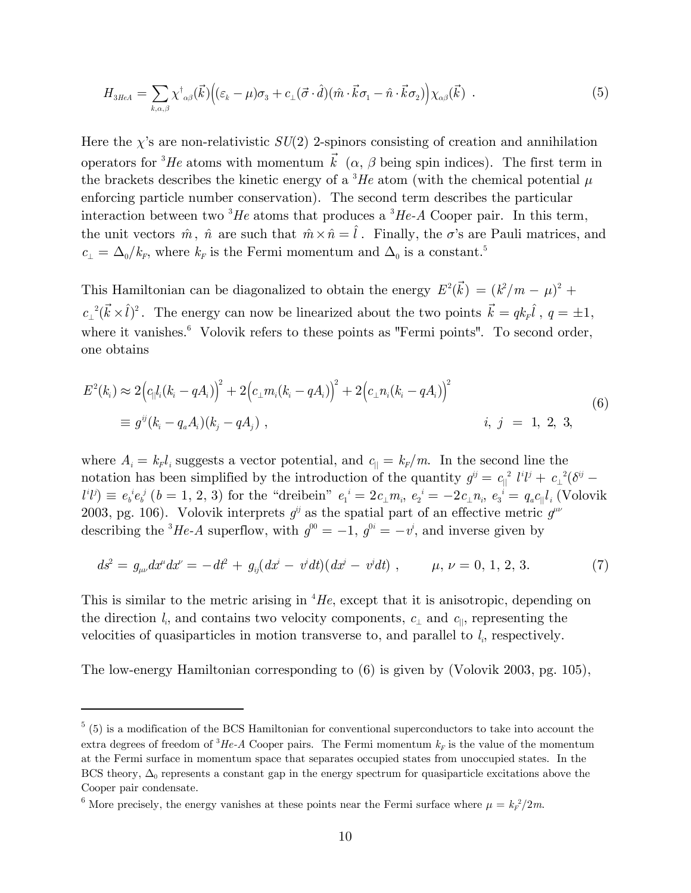$$
H_{3HeA} = \sum_{k,\alpha,\beta} \chi^{\dagger}_{\alpha\beta}(\vec{k}) \Big( (\varepsilon_{k} - \mu)\sigma_{3} + c_{\perp}(\vec{\sigma} \cdot \hat{d}) (\hat{m} \cdot \vec{k}\sigma_{1} - \hat{n} \cdot \vec{k}\sigma_{2}) \Big) \chi_{\alpha\beta}(\vec{k}) . \tag{5}
$$

Here the *χ*'s are non-relativistic  $SU(2)$  2-spinors consisting of creation and annihilation operators for <sup>3</sup>He atoms with momentum  $\vec{k}$  ( $\alpha$ ,  $\beta$  being spin indices). The first term in the brackets describes the kinetic energy of a  ${}^{3}He$  atom (with the chemical potential  $\mu$ enforcing particle number conservation). The second term describes the particular interaction between two <sup>3</sup>He atoms that produces a <sup>3</sup>He-A Cooper pair. In this term, the unit vectors  $\hat{m}$ ,  $\hat{n}$  are such that  $\hat{m} \times \hat{n} = \hat{l}$ . Finally, the *σ*'s are Pauli matrices, and  $c_{\perp} = \Delta_0/k_F$ , where  $k_F$  is the Fermi momentum and  $\Delta_0$  is a constant.<sup>5</sup>

This Hamiltonian can be diagonalized to obtain the energy  $E^2$  $\rightarrow$  $k(k) = (k^2/m - \mu)^2 +$  $c_{\perp}^{2}$ (  $\vec{k} \times \hat{l}$ <sup>2</sup>. The energy can now be linearized about the two points  $\vec{k} = qk_{F} \hat{l}$ ,  $q = \pm 1$ , where it vanishes.<sup>6</sup> Volovik refers to these points as "Fermi points". To second order, one obtains

$$
E^{2}(k_{i}) \approx 2\Big(c_{\parallel}l_{i}(k_{i}-qA_{i})\Big)^{2} + 2\Big(c_{\perp}m_{i}(k_{i}-qA_{i})\Big)^{2} + 2\Big(c_{\perp}n_{i}(k_{i}-qA_{i})\Big)^{2}
$$
\n
$$
\equiv g^{ij}(k_{i}-q_{a}A_{i})(k_{j}-qA_{j}), \qquad i, j = 1, 2, 3,
$$
\n(6)

where  $A_i = k_F l_i$  suggests a vector potential, and  $c_{\parallel} = k_F / m$ . In the second line the notation has been simplified by the introduction of the quantity  $g^{ij} = c_{\parallel}^2 l^i l^j + c_{\perp}^2 (\delta^{ij}$  $l^{i}l^{j}$  =  $e_{i}^{i}e_{b}^{j}$  ( $b = 1, 2, 3$ ) for the "dreibein"  $e_{1}^{i} = 2c_{\perp}m_{i}$ ,  $e_{2}^{i} = -2c_{\perp}n_{i}$ ,  $e_{3}^{i} = q_{a}c_{\parallel}l_{i}$  (Volovik 2003, pg. 106). Volovik interprets  $g^{ij}$  as the spatial part of an effective metric  $g^{\mu\nu}$ describing the <sup>3</sup>He-A superflow, with  $g^{00} = -1$ ,  $g^{0i} = -v^i$ , and inverse given by

$$
ds^{2} = g_{\mu\nu}dx^{\mu}dx^{\nu} = -dt^{2} + g_{ij}(dx^{i} - v^{i}dt)(dx^{j} - v^{j}dt) , \qquad \mu, \nu = 0, 1, 2, 3. \tag{7}
$$

This is similar to the metric arising in <sup>4</sup>He, except that it is anisotropic, depending on the direction  $l_i$ , and contains two velocity components,  $c_{\perp}$  and  $c_{\parallel}$ , representing the velocities of quasiparticles in motion transverse to, and parallel to  $l_i$ , respectively.

The low-energy Hamiltonian corresponding to (6) is given by (Volovik 2003, pg. 105),

ا<br>5  $<sup>5</sup>$  (5) is a modification of the BCS Hamiltonian for conventional superconductors to take into account the</sup> extra degrees of freedom of <sup>3</sup>*He-A* Cooper pairs. The Fermi momentum  $k_F$  is the value of the momentum at the Fermi surface in momentum space that separates occupied states from unoccupied states. In the BCS theory,  $\Delta_0$  represents a constant gap in the energy spectrum for quasiparticle excitations above the Cooper pair condensate.

<sup>&</sup>lt;sup>6</sup> More precisely, the energy vanishes at these points near the Fermi surface where  $\mu = k_F^2/2m$ .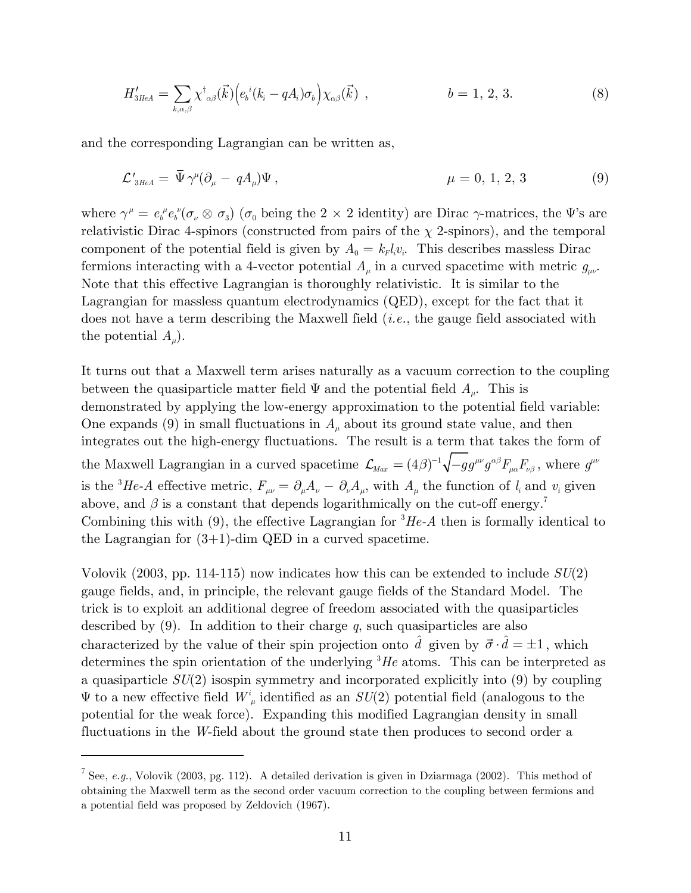$$
H'_{3HeA} = \sum_{k,\alpha,\beta} \chi^{\dagger}_{\alpha\beta}(\vec{k}) \Big( e_b^{i} (k_i - qA_i) \sigma_b \Big) \chi_{\alpha\beta}(\vec{k}) \ , \qquad b = 1, 2, 3. \tag{8}
$$

and the corresponding Lagrangian can be written as,

$$
\mathcal{L'}_{3HeA} = \overline{\Psi} \gamma^{\mu} (\partial_{\mu} - qA_{\mu}) \Psi , \qquad \mu = 0, 1, 2, 3 \qquad (9)
$$

where  $\gamma^{\mu} = e_b^{\mu} e_b^{\nu} (\sigma_{\nu} \otimes \sigma_3)$  ( $\sigma_0$  being the 2 × 2 identity) are Dirac  $\gamma$ -matrices, the  $\Psi$ 's are relativistic Dirac 4-spinors (constructed from pairs of the  $\chi$  2-spinors), and the temporal component of the potential field is given by  $A_0 = k_F l_i v_i$ . This describes massless Dirac fermions interacting with a 4-vector potential  $A_\mu$  in a curved spacetime with metric  $g_{\mu\nu}$ . Note that this effective Lagrangian is thoroughly relativistic. It is similar to the Lagrangian for massless quantum electrodynamics (QED), except for the fact that it does not have a term describing the Maxwell field (*i.e.*, the gauge field associated with the potential  $A_\mu$ ).

It turns out that a Maxwell term arises naturally as a vacuum correction to the coupling between the quasiparticle matter field  $\Psi$  and the potential field  $A_\mu$ . This is demonstrated by applying the low-energy approximation to the potential field variable: One expands (9) in small fluctuations in  $A<sub>u</sub>$  about its ground state value, and then integrates out the high-energy fluctuations. The result is a term that takes the form of the Maxwell Lagrangian in a curved spacetime  $\mathcal{L}_{Max} = (4\beta)^{-1}\sqrt{-gg^{\mu\nu}g^{\alpha\beta}F_{\mu\alpha}F_{\nu\beta}}$ , where  $g^{\mu\nu}$ is the <sup>3</sup>He-A effective metric,  $F_{\mu\nu} = \partial_{\mu}A_{\nu} - \partial_{\nu}A_{\mu}$ , with  $A_{\mu}$  the function of  $l_i$  and  $v_i$  given above, and  $\beta$  is a constant that depends logarithmically on the cut-off energy.<sup>7</sup> Combining this with  $(9)$ , the effective Lagrangian for  ${}^{3}He$ -A then is formally identical to the Lagrangian for  $(3+1)$ -dim QED in a curved spacetime.

Volovik (2003, pp. 114-115) now indicates how this can be extended to include *SU*(2) gauge fields, and, in principle, the relevant gauge fields of the Standard Model. The trick is to exploit an additional degree of freedom associated with the quasiparticles described by (9). In addition to their charge *q*, such quasiparticles are also characterized by the value of their spin projection onto  $\hat{d}$  given by  $\vec{\sigma} \cdot \hat{d} = \pm 1$ , which determines the spin orientation of the underlying <sup>3</sup>He atoms. This can be interpreted as a quasiparticle *SU*(2) isospin symmetry and incorporated explicitly into (9) by coupling  $\Psi$  to a new effective field  $W^i_{\mu}$  identified as an  $SU(2)$  potential field (analogous to the potential for the weak force). Expanding this modified Lagrangian density in small fluctuations in the *W*-field about the ground state then produces to second order a

<sup>—&</sup>lt;br>7 <sup>7</sup> See, *e.g.*, Volovik (2003, pg. 112). A detailed derivation is given in Dziarmaga (2002). This method of obtaining the Maxwell term as the second order vacuum correction to the coupling between fermions and a potential field was proposed by Zeldovich (1967).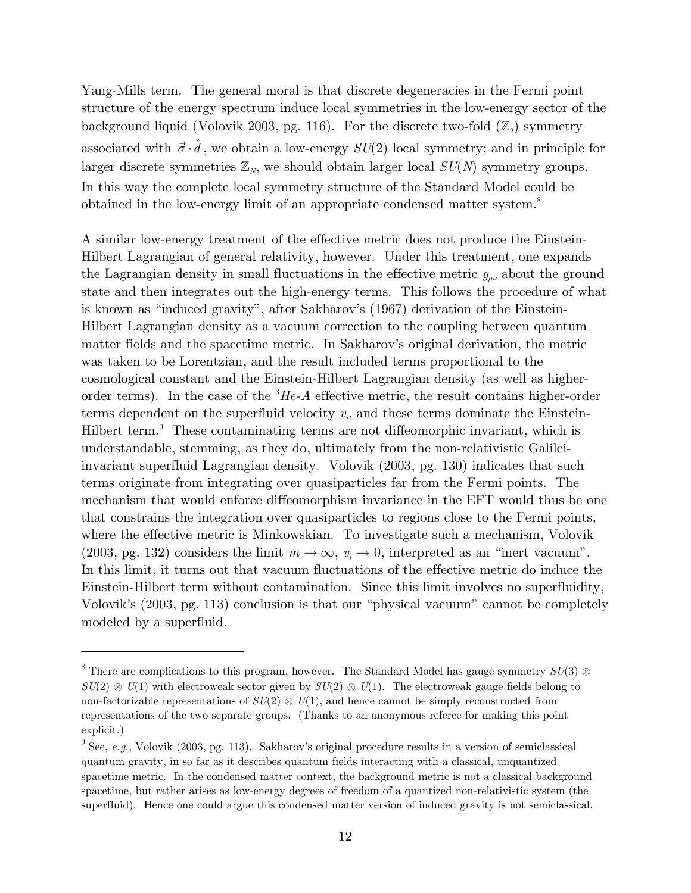Yang-Mills term. The general moral is that discrete degeneracies in the Fermi point structure of the energy spectrum induce local symmetries in the low-energy sector of the background liquid (Volovik 2003, pg. 116). For the discrete two-fold  $(\mathbb{Z}_2)$  symmetry associated with  $\vec{\sigma} \cdot \hat{\vec{d}}$ , we obtain a low-energy  $SU(2)$  local symmetry; and in principle for larger discrete symmetries  $\mathbb{Z}_N$ , we should obtain larger local  $SU(N)$  symmetry groups. In this way the complete local symmetry structure of the Standard Model could be obtained in the low-energy limit of an appropriate condensed matter system.<sup>8</sup>

A similar low-energy treatment of the effective metric does not produce the Einstein-Hilbert Lagrangian of general relativity, however. Under this treatment, one expands the Lagrangian density in small fluctuations in the effective metric  $g_{\mu\nu}$  about the ground state and then integrates out the high-energy terms. This follows the procedure of what is known as "induced gravity", after Sakharov's (1967) derivation of the Einstein-Hilbert Lagrangian density as a vacuum correction to the coupling between quantum matter fields and the spacetime metric. In Sakharov's original derivation, the metric was taken to be Lorentzian, and the result included terms proportional to the cosmological constant and the Einstein-Hilbert Lagrangian density (as well as higherorder terms). In the case of the <sup>3</sup>He-A effective metric, the result contains higher-order terms dependent on the superfluid velocity  $v_i$ , and these terms dominate the Einstein-Hilbert term.<sup>9</sup> These contaminating terms are not diffeomorphic invariant, which is understandable, stemming, as they do, ultimately from the non-relativistic Galileiinvariant superfluid Lagrangian density. Volovik (2003, pg. 130) indicates that such terms originate from integrating over quasiparticles far from the Fermi points. The mechanism that would enforce diffeomorphism invariance in the EFT would thus be one that constrains the integration over quasiparticles to regions close to the Fermi points, where the effective metric is Minkowskian. To investigate such a mechanism, Volovik (2003, pg. 132) considers the limit  $m \to \infty$ ,  $v_i \to 0$ , interpreted as an "inert vacuum". In this limit, it turns out that vacuum fluctuations of the effective metric do induce the Einstein-Hilbert term without contamination. Since this limit involves no superfluidity, Volovik's (2003, pg. 113) conclusion is that our "physical vacuum" cannot be completely modeled by a superfluid.

 <sup>8</sup> <sup>8</sup> There are complications to this program, however. The Standard Model has gauge symmetry  $SU(3)$  ⊗  $SU(2) \otimes U(1)$  with electroweak sector given by  $SU(2) \otimes U(1)$ . The electroweak gauge fields belong to non-factorizable representations of  $SU(2) \otimes U(1)$ , and hence cannot be simply reconstructed from representations of the two separate groups. (Thanks to an anonymous referee for making this point explicit.)

<sup>&</sup>lt;sup>9</sup> See, *e.g.*, Volovik (2003, pg. 113). Sakharov's original procedure results in a version of semiclassical quantum gravity, in so far as it describes quantum fields interacting with a classical, unquantized spacetime metric. In the condensed matter context, the background metric is not a classical background spacetime, but rather arises as low-energy degrees of freedom of a quantized non-relativistic system (the superfluid). Hence one could argue this condensed matter version of induced gravity is not semiclassical.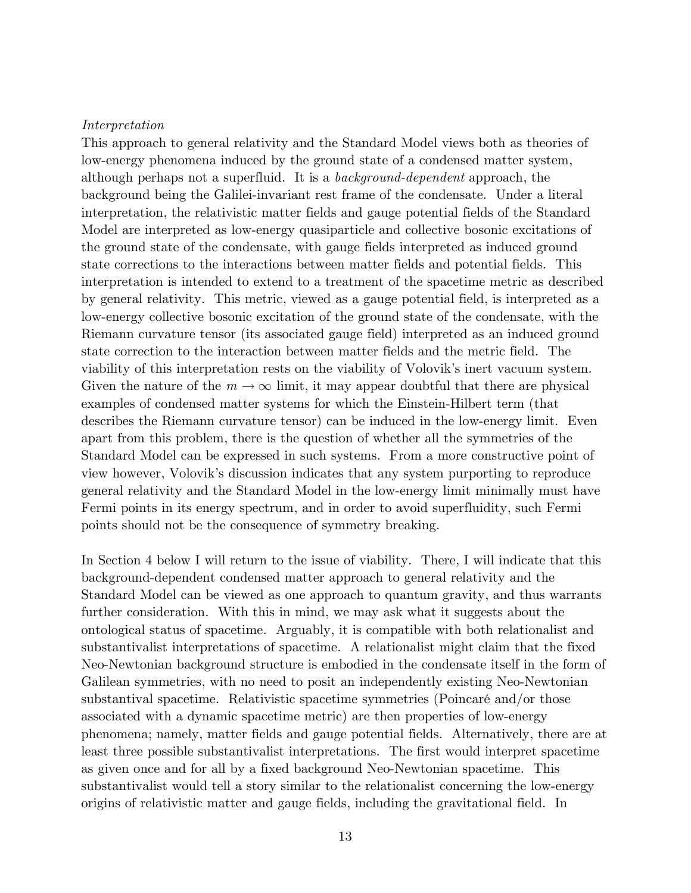#### *Interpretation*

This approach to general relativity and the Standard Model views both as theories of low-energy phenomena induced by the ground state of a condensed matter system, although perhaps not a superfluid. It is a *background-dependent* approach, the background being the Galilei-invariant rest frame of the condensate. Under a literal interpretation, the relativistic matter fields and gauge potential fields of the Standard Model are interpreted as low-energy quasiparticle and collective bosonic excitations of the ground state of the condensate, with gauge fields interpreted as induced ground state corrections to the interactions between matter fields and potential fields. This interpretation is intended to extend to a treatment of the spacetime metric as described by general relativity. This metric, viewed as a gauge potential field, is interpreted as a low-energy collective bosonic excitation of the ground state of the condensate, with the Riemann curvature tensor (its associated gauge field) interpreted as an induced ground state correction to the interaction between matter fields and the metric field. The viability of this interpretation rests on the viability of Volovik's inert vacuum system. Given the nature of the  $m \to \infty$  limit, it may appear doubtful that there are physical examples of condensed matter systems for which the Einstein-Hilbert term (that describes the Riemann curvature tensor) can be induced in the low-energy limit. Even apart from this problem, there is the question of whether all the symmetries of the Standard Model can be expressed in such systems. From a more constructive point of view however, Volovik's discussion indicates that any system purporting to reproduce general relativity and the Standard Model in the low-energy limit minimally must have Fermi points in its energy spectrum, and in order to avoid superfluidity, such Fermi points should not be the consequence of symmetry breaking.

In Section 4 below I will return to the issue of viability. There, I will indicate that this background-dependent condensed matter approach to general relativity and the Standard Model can be viewed as one approach to quantum gravity, and thus warrants further consideration. With this in mind, we may ask what it suggests about the ontological status of spacetime. Arguably, it is compatible with both relationalist and substantivalist interpretations of spacetime. A relationalist might claim that the fixed Neo-Newtonian background structure is embodied in the condensate itself in the form of Galilean symmetries, with no need to posit an independently existing Neo-Newtonian substantival spacetime. Relativistic spacetime symmetries (Poincaré and/or those associated with a dynamic spacetime metric) are then properties of low-energy phenomena; namely, matter fields and gauge potential fields. Alternatively, there are at least three possible substantivalist interpretations. The first would interpret spacetime as given once and for all by a fixed background Neo-Newtonian spacetime. This substantivalist would tell a story similar to the relationalist concerning the low-energy origins of relativistic matter and gauge fields, including the gravitational field. In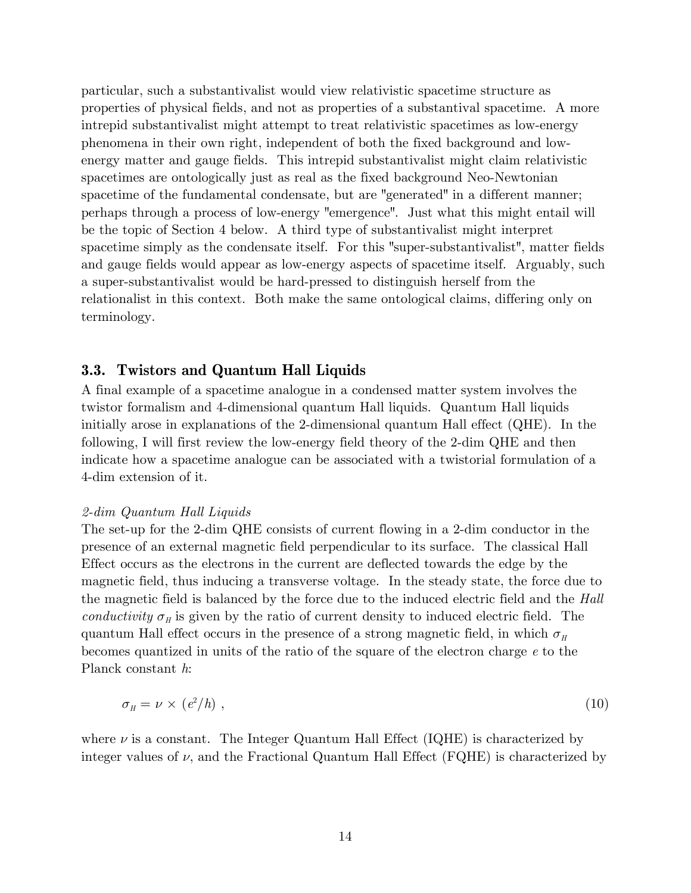particular, such a substantivalist would view relativistic spacetime structure as properties of physical fields, and not as properties of a substantival spacetime. A more intrepid substantivalist might attempt to treat relativistic spacetimes as low-energy phenomena in their own right, independent of both the fixed background and lowenergy matter and gauge fields. This intrepid substantivalist might claim relativistic spacetimes are ontologically just as real as the fixed background Neo-Newtonian spacetime of the fundamental condensate, but are "generated" in a different manner; perhaps through a process of low-energy "emergence". Just what this might entail will be the topic of Section 4 below. A third type of substantivalist might interpret spacetime simply as the condensate itself. For this "super-substantivalist", matter fields and gauge fields would appear as low-energy aspects of spacetime itself. Arguably, such a super-substantivalist would be hard-pressed to distinguish herself from the relationalist in this context. Both make the same ontological claims, differing only on terminology.

### **3.3. Twistors and Quantum Hall Liquids**

A final example of a spacetime analogue in a condensed matter system involves the twistor formalism and 4-dimensional quantum Hall liquids. Quantum Hall liquids initially arose in explanations of the 2-dimensional quantum Hall effect (QHE). In the following, I will first review the low-energy field theory of the 2-dim QHE and then indicate how a spacetime analogue can be associated with a twistorial formulation of a 4-dim extension of it.

#### *2-dim Quantum Hall Liquids*

The set-up for the 2-dim QHE consists of current flowing in a 2-dim conductor in the presence of an external magnetic field perpendicular to its surface. The classical Hall Effect occurs as the electrons in the current are deflected towards the edge by the magnetic field, thus inducing a transverse voltage. In the steady state, the force due to the magnetic field is balanced by the force due to the induced electric field and the *Hall conductivity*  $\sigma_H$  is given by the ratio of current density to induced electric field. The quantum Hall effect occurs in the presence of a strong magnetic field, in which  $\sigma_H$ becomes quantized in units of the ratio of the square of the electron charge *e* to the Planck constant *h*:

$$
\sigma_H = \nu \times (e^2/h) \tag{10}
$$

where  $\nu$  is a constant. The Integer Quantum Hall Effect (IQHE) is characterized by integer values of  $\nu$ , and the Fractional Quantum Hall Effect (FQHE) is characterized by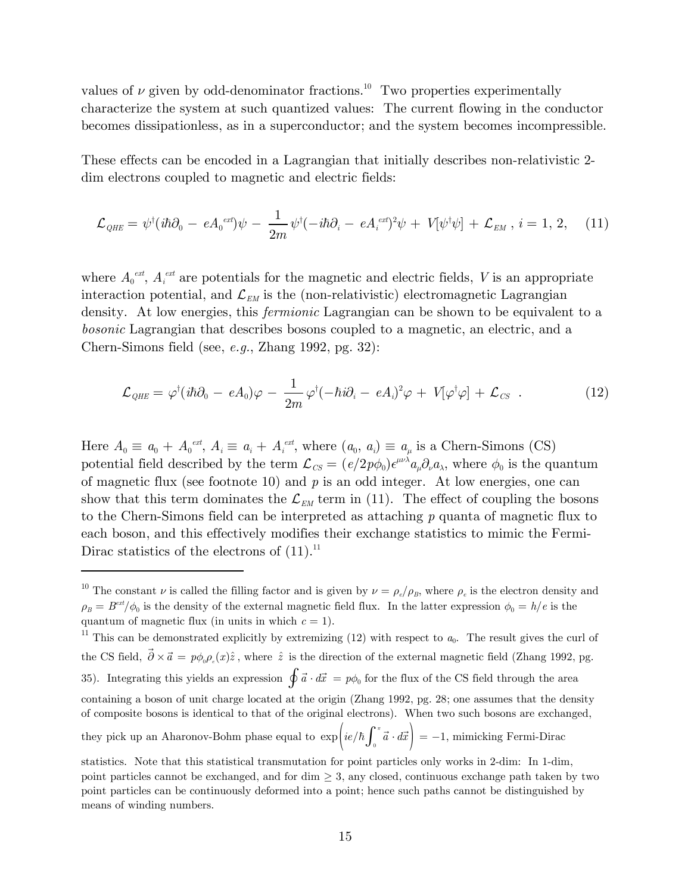values of  $\nu$  given by odd-denominator fractions.<sup>10</sup> Two properties experimentally characterize the system at such quantized values: The current flowing in the conductor becomes dissipationless, as in a superconductor; and the system becomes incompressible.

These effects can be encoded in a Lagrangian that initially describes non-relativistic 2 dim electrons coupled to magnetic and electric fields:

$$
\mathcal{L}_{QHE} = \psi^{\dagger} (i\hbar \partial_0 - e A_0^{\text{ext}}) \psi - \frac{1}{2m} \psi^{\dagger} (-i\hbar \partial_i - e A_i^{\text{ext}})^2 \psi + V[\psi^{\dagger} \psi] + \mathcal{L}_{EM} , i = 1, 2, \quad (11)
$$

where  $A_0^{ext}$ ,  $A_i^{ext}$  are potentials for the magnetic and electric fields, V is an appropriate interaction potential, and  $\mathcal{L}_{EM}$  is the (non-relativistic) electromagnetic Lagrangian density. At low energies, this *fermionic* Lagrangian can be shown to be equivalent to a *bosonic* Lagrangian that describes bosons coupled to a magnetic, an electric, and a Chern-Simons field (see, *e.g.*, Zhang 1992, pg. 32):

$$
\mathcal{L}_{QHE} = \varphi^{\dagger} (i\hbar \partial_0 - eA_0) \varphi - \frac{1}{2m} \varphi^{\dagger} (-\hbar i \partial_i - eA_i)^2 \varphi + V[\varphi^{\dagger} \varphi] + \mathcal{L}_{CS} . \qquad (12)
$$

Here  $A_0 \equiv a_0 + A_0^{ext}$ ,  $A_i \equiv a_i + A_i^{ext}$ , where  $(a_0, a_i) \equiv a_\mu$  is a Chern-Simons (CS) potential field described by the term  $\mathcal{L}_{CS} = (e/2p\phi_0)e^{\mu\nu\lambda}a_\mu\partial_\nu a_\lambda$ , where  $\phi_0$  is the quantum of magnetic flux (see footnote 10) and *p* is an odd integer. At low energies, one can show that this term dominates the  $\mathcal{L}_{EM}$  term in (11). The effect of coupling the bosons to the Chern-Simons field can be interpreted as attaching *p* quanta of magnetic flux to each boson, and this effectively modifies their exchange statistics to mimic the Fermi-Dirac statistics of the electrons of  $(11).$ <sup>11</sup>

they pick up an Aharonov-Bohm phase equal to  $\exp\left(ie/\hbar\int_{0}^{\pi}\vec{a}\cdot d\vec{x}\right)$  $\left( ie/\hbar \int_0^{\pi} \vec{a} \cdot d\vec{x}\right) = -1$ , mimicking Fermi-Dirac

<sup>&</sup>lt;sup>10</sup> The constant *ν* is called the filling factor and is given by  $\nu = \rho_e/\rho_B$ , where  $\rho_e$  is the electron density and  $\rho_B = B^{ext}/\phi_0$  is the density of the external magnetic field flux. In the latter expression  $\phi_0 = h/e$  is the quantum of magnetic flux (in units in which  $c = 1$ ).

<sup>&</sup>lt;sup>11</sup> This can be demonstrated explicitly by extremizing (12) with respect to  $a_0$ . The result gives the curl of the CS field,  $\vec{\partial} \times \vec{a} = p\phi_0 \rho_{\epsilon}(x)\hat{z}$ , where  $\hat{z}$  is the direction of the external magnetic field (Zhang 1992, pg. 35). Integrating this yields an expression  $\oint \vec{a} \cdot d\vec{x} = p\phi_0$  for the flux of the CS field through the area containing a boson of unit charge located at the origin (Zhang 1992, pg. 28; one assumes that the density of composite bosons is identical to that of the original electrons). When two such bosons are exchanged,

statistics. Note that this statistical transmutation for point particles only works in 2-dim: In 1-dim, point particles cannot be exchanged, and for dim  $\geq$  3, any closed, continuous exchange path taken by two point particles can be continuously deformed into a point; hence such paths cannot be distinguished by means of winding numbers.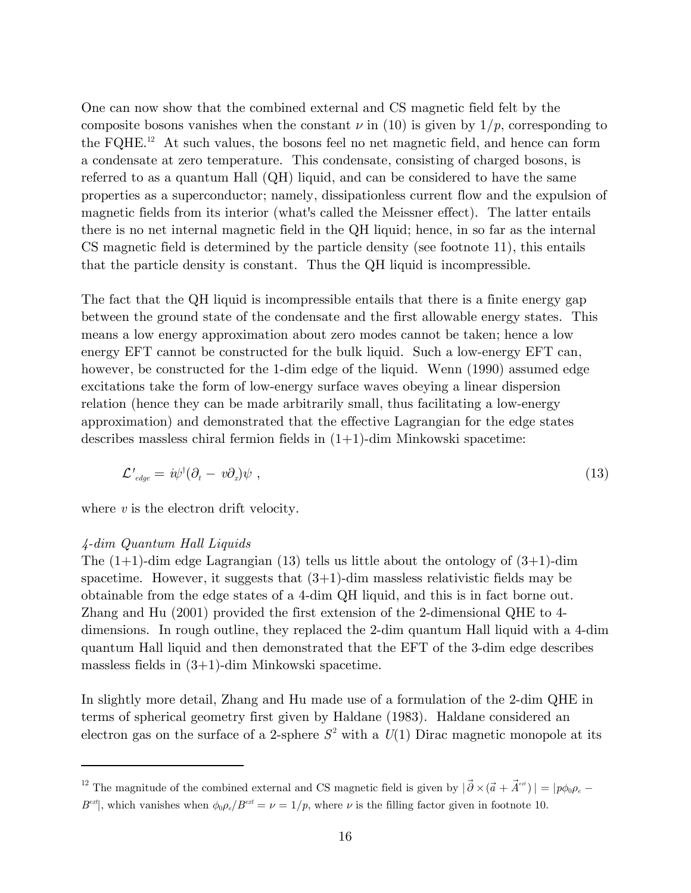One can now show that the combined external and CS magnetic field felt by the composite bosons vanishes when the constant  $\nu$  in (10) is given by  $1/p$ , corresponding to the FQHE.<sup>12</sup> At such values, the bosons feel no net magnetic field, and hence can form a condensate at zero temperature. This condensate, consisting of charged bosons, is referred to as a quantum Hall (QH) liquid, and can be considered to have the same properties as a superconductor; namely, dissipationless current flow and the expulsion of magnetic fields from its interior (what's called the Meissner effect). The latter entails there is no net internal magnetic field in the QH liquid; hence, in so far as the internal CS magnetic field is determined by the particle density (see footnote 11), this entails that the particle density is constant. Thus the QH liquid is incompressible.

The fact that the QH liquid is incompressible entails that there is a finite energy gap between the ground state of the condensate and the first allowable energy states. This means a low energy approximation about zero modes cannot be taken; hence a low energy EFT cannot be constructed for the bulk liquid. Such a low-energy EFT can, however, be constructed for the 1-dim edge of the liquid. Wenn (1990) assumed edge excitations take the form of low-energy surface waves obeying a linear dispersion relation (hence they can be made arbitrarily small, thus facilitating a low-energy approximation) and demonstrated that the effective Lagrangian for the edge states describes massless chiral fermion fields in (1+1)-dim Minkowski spacetime:

$$
\mathcal{L'}_{edge} = i\psi^{\dagger}(\partial_t - v\partial_x)\psi \tag{13}
$$

where *v* is the electron drift velocity.

#### *4-dim Quantum Hall Liquids*

ł

The  $(1+1)$ -dim edge Lagrangian  $(13)$  tells us little about the ontology of  $(3+1)$ -dim spacetime. However, it suggests that  $(3+1)$ -dim massless relativistic fields may be obtainable from the edge states of a 4-dim QH liquid, and this is in fact borne out. Zhang and Hu (2001) provided the first extension of the 2-dimensional QHE to 4 dimensions. In rough outline, they replaced the 2-dim quantum Hall liquid with a 4-dim quantum Hall liquid and then demonstrated that the EFT of the 3-dim edge describes massless fields in (3+1)-dim Minkowski spacetime.

In slightly more detail, Zhang and Hu made use of a formulation of the 2-dim QHE in terms of spherical geometry first given by Haldane (1983). Haldane considered an electron gas on the surface of a 2-sphere  $S^2$  with a  $U(1)$  Dirac magnetic monopole at its

<sup>&</sup>lt;sup>12</sup> The magnitude of the combined external and CS magnetic field is given by  $|\vec{\partial} \times (\vec{a} + \vec{A}^{et})| = |p\phi_0 \rho_e B^{ext}$ , which vanishes when  $\phi_0 \rho_e / B^{ext} = \nu = 1/p$ , where  $\nu$  is the filling factor given in footnote 10.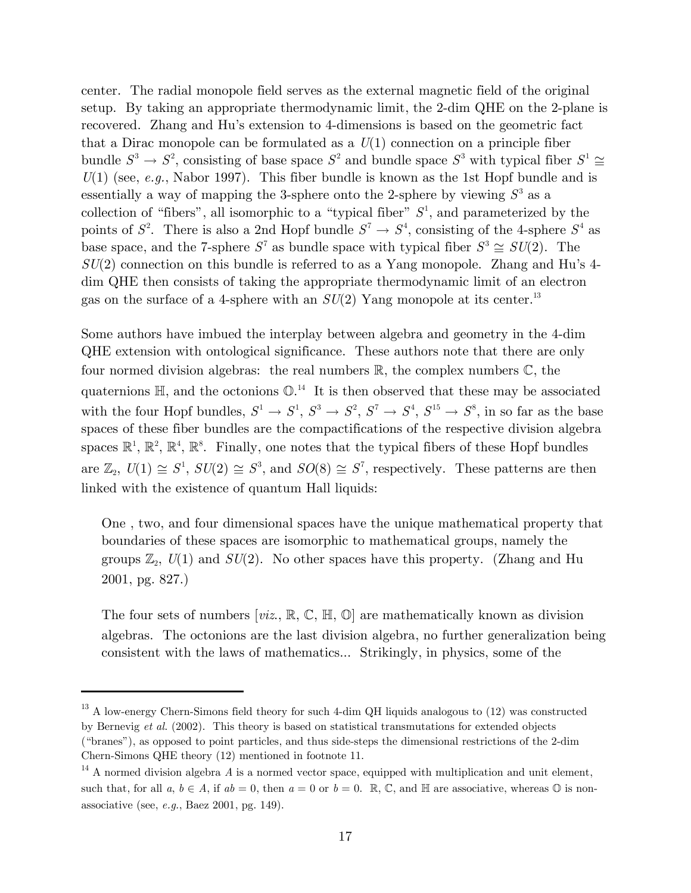center. The radial monopole field serves as the external magnetic field of the original setup. By taking an appropriate thermodynamic limit, the 2-dim QHE on the 2-plane is recovered. Zhang and Hu's extension to 4-dimensions is based on the geometric fact that a Dirac monopole can be formulated as a  $U(1)$  connection on a principle fiber bundle  $S^3 \to S^2$ , consisting of base space  $S^2$  and bundle space  $S^3$  with typical fiber  $S^1 \cong$  $U(1)$  (see, *e.g.*, Nabor 1997). This fiber bundle is known as the 1st Hopf bundle and is essentially a way of mapping the 3-sphere onto the 2-sphere by viewing  $S<sup>3</sup>$  as a collection of "fibers", all isomorphic to a "typical fiber"  $S<sup>1</sup>$ , and parameterized by the points of  $S^2$ . There is also a 2nd Hopf bundle  $S^7 \to S^4$ , consisting of the 4-sphere  $S^4$  as base space, and the 7-sphere  $S^7$  as bundle space with typical fiber  $S^3 \cong SU(2)$ . The *SU*(2) connection on this bundle is referred to as a Yang monopole. Zhang and Hu's 4 dim QHE then consists of taking the appropriate thermodynamic limit of an electron gas on the surface of a 4-sphere with an  $SU(2)$  Yang monopole at its center.<sup>13</sup>

Some authors have imbued the interplay between algebra and geometry in the 4-dim QHE extension with ontological significance. These authors note that there are only four normed division algebras: the real numbers  $\mathbb{R}$ , the complex numbers  $\mathbb{C}$ , the quaternions  $\mathbb{H}$ , and the octonions  $\mathbb{O}^{14}$ . It is then observed that these may be associated with the four Hopf bundles,  $S^1 \to S^1$ ,  $S^3 \to S^2$ ,  $S^7 \to S^4$ ,  $S^{15} \to S^8$ , in so far as the base spaces of these fiber bundles are the compactifications of the respective division algebra spaces  $\mathbb{R}^1$ ,  $\mathbb{R}^2$ ,  $\mathbb{R}^4$ ,  $\mathbb{R}^8$ . Finally, one notes that the typical fibers of these Hopf bundles are  $\mathbb{Z}_2$ ,  $U(1) \cong S^1$ ,  $SU(2) \cong S^3$ , and  $SO(8) \cong S^7$ , respectively. These patterns are then linked with the existence of quantum Hall liquids:

One , two, and four dimensional spaces have the unique mathematical property that boundaries of these spaces are isomorphic to mathematical groups, namely the groups  $\mathbb{Z}_2$ ,  $U(1)$  and  $SU(2)$ . No other spaces have this property. (Zhang and Hu 2001, pg. 827.)

The four sets of numbers [*viz*.,  $\mathbb{R}, \mathbb{C}, \mathbb{H}, \mathbb{O}$ ] are mathematically known as division algebras. The octonions are the last division algebra, no further generalization being consistent with the laws of mathematics... Strikingly, in physics, some of the

 <sup>13</sup> A low-energy Chern-Simons field theory for such 4-dim QH liquids analogous to (12) was constructed by Bernevig *et al*. (2002). This theory is based on statistical transmutations for extended objects ("branes"), as opposed to point particles, and thus side-steps the dimensional restrictions of the 2-dim Chern-Simons QHE theory (12) mentioned in footnote 11.

<sup>&</sup>lt;sup>14</sup> A normed division algebra  $A$  is a normed vector space, equipped with multiplication and unit element, such that, for all  $a, b \in A$ , if  $ab = 0$ , then  $a = 0$  or  $b = 0$ .  $\mathbb{R}, \mathbb{C}$ , and  $\mathbb{H}$  are associative, whereas  $\mathbb{O}$  is nonassociative (see, *e.g.*, Baez 2001, pg. 149).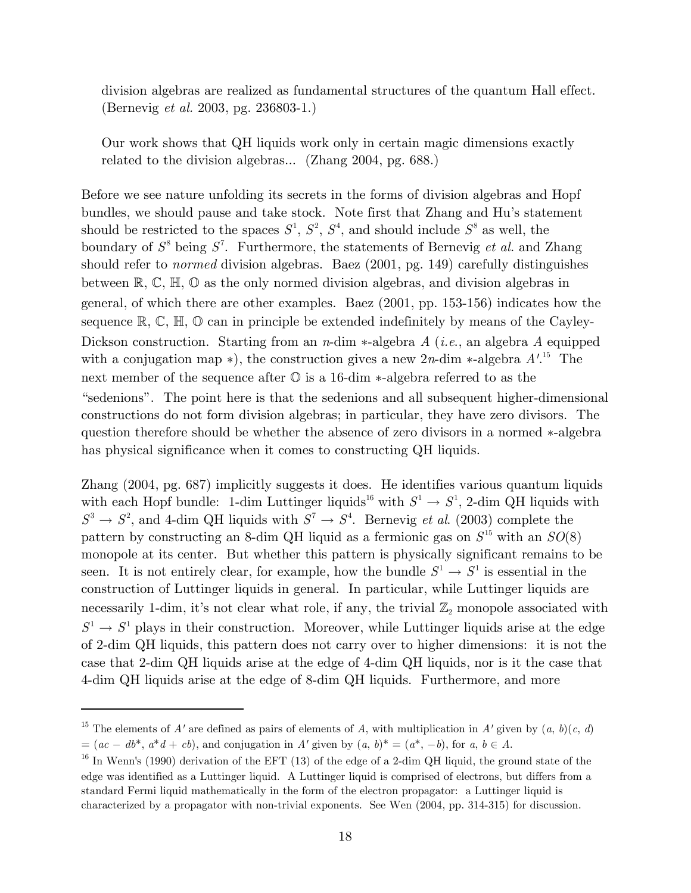division algebras are realized as fundamental structures of the quantum Hall effect. (Bernevig *et al.* 2003, pg. 236803-1.)

Our work shows that QH liquids work only in certain magic dimensions exactly related to the division algebras... (Zhang 2004, pg. 688.)

Before we see nature unfolding its secrets in the forms of division algebras and Hopf bundles, we should pause and take stock. Note first that Zhang and Hu's statement should be restricted to the spaces  $S^1$ ,  $S^2$ ,  $S^4$ , and should include  $S^8$  as well, the boundary of  $S^8$  being  $S^7$ . Furthermore, the statements of Bernevig *et al.* and Zhang should refer to *normed* division algebras. Baez (2001, pg. 149) carefully distinguishes between R, C, H, O as the only normed division algebras, and division algebras in general, of which there are other examples. Baez (2001, pp. 153-156) indicates how the sequence  $\mathbb{R}, \mathbb{C}, \mathbb{H}, \mathbb{O}$  can in principle be extended indefinitely by means of the Cayley-Dickson construction. Starting from an *n*-dim ∗-algebra *A* (*i.e*., an algebra *A* equipped with a conjugation map  $\ast$ ), the construction gives a new 2*n*-dim  $\ast$ -algebra  $A'^{15}$ . The next member of the sequence after O is a 16-dim ∗-algebra referred to as the "sedenions". The point here is that the sedenions and all subsequent higher-dimensional constructions do not form division algebras; in particular, they have zero divisors. The question therefore should be whether the absence of zero divisors in a normed ∗-algebra has physical significance when it comes to constructing QH liquids.

Zhang (2004, pg. 687) implicitly suggests it does. He identifies various quantum liquids with each Hopf bundle: 1-dim Luttinger liquids<sup>16</sup> with  $S^1 \to S^1$ , 2-dim QH liquids with  $S^3 \to S^2$ , and 4-dim QH liquids with  $S^7 \to S^4$ . Bernevig *et al.* (2003) complete the pattern by constructing an 8-dim QH liquid as a fermionic gas on *S*15 with an *SO*(8) monopole at its center. But whether this pattern is physically significant remains to be seen. It is not entirely clear, for example, how the bundle  $S^1 \to S^1$  is essential in the construction of Luttinger liquids in general. In particular, while Luttinger liquids are necessarily 1-dim, it's not clear what role, if any, the trivial  $\mathbb{Z}_2$  monopole associated with  $S^1 \to S^1$  plays in their construction. Moreover, while Luttinger liquids arise at the edge of 2-dim QH liquids, this pattern does not carry over to higher dimensions: it is not the case that 2-dim QH liquids arise at the edge of 4-dim QH liquids, nor is it the case that 4-dim QH liquids arise at the edge of 8-dim QH liquids. Furthermore, and more

<sup>&</sup>lt;sup>15</sup> The elements of *A'* are defined as pairs of elements of *A*, with multiplication in *A'* given by  $(a, b)(c, d)$  $=(ac - db^*, a^*d + cb)$ , and conjugation in *A'* given by  $(a, b)^* = (a^*, -b)$ , for *a*, *b* ∈ *A*.

<sup>&</sup>lt;sup>16</sup> In Wenn's (1990) derivation of the EFT (13) of the edge of a 2-dim QH liquid, the ground state of the edge was identified as a Luttinger liquid. A Luttinger liquid is comprised of electrons, but differs from a standard Fermi liquid mathematically in the form of the electron propagator: a Luttinger liquid is characterized by a propagator with non-trivial exponents. See Wen (2004, pp. 314-315) for discussion.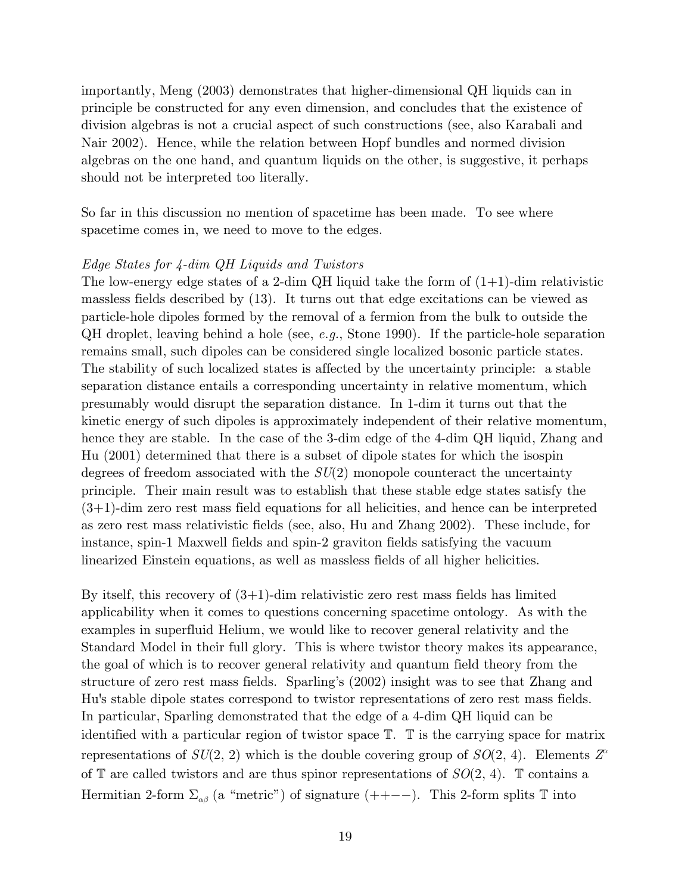importantly, Meng (2003) demonstrates that higher-dimensional QH liquids can in principle be constructed for any even dimension, and concludes that the existence of division algebras is not a crucial aspect of such constructions (see, also Karabali and Nair 2002). Hence, while the relation between Hopf bundles and normed division algebras on the one hand, and quantum liquids on the other, is suggestive, it perhaps should not be interpreted too literally.

So far in this discussion no mention of spacetime has been made. To see where spacetime comes in, we need to move to the edges.

#### *Edge States for 4-dim QH Liquids and Twistors*

The low-energy edge states of a 2-dim QH liquid take the form of  $(1+1)$ -dim relativistic massless fields described by (13). It turns out that edge excitations can be viewed as particle-hole dipoles formed by the removal of a fermion from the bulk to outside the QH droplet, leaving behind a hole (see, *e.g.*, Stone 1990). If the particle-hole separation remains small, such dipoles can be considered single localized bosonic particle states. The stability of such localized states is affected by the uncertainty principle: a stable separation distance entails a corresponding uncertainty in relative momentum, which presumably would disrupt the separation distance. In 1-dim it turns out that the kinetic energy of such dipoles is approximately independent of their relative momentum, hence they are stable. In the case of the 3-dim edge of the 4-dim QH liquid, Zhang and Hu (2001) determined that there is a subset of dipole states for which the isospin degrees of freedom associated with the *SU*(2) monopole counteract the uncertainty principle. Their main result was to establish that these stable edge states satisfy the (3+1)-dim zero rest mass field equations for all helicities, and hence can be interpreted as zero rest mass relativistic fields (see, also, Hu and Zhang 2002). These include, for instance, spin-1 Maxwell fields and spin-2 graviton fields satisfying the vacuum linearized Einstein equations, as well as massless fields of all higher helicities.

By itself, this recovery of  $(3+1)$ -dim relativistic zero rest mass fields has limited applicability when it comes to questions concerning spacetime ontology. As with the examples in superfluid Helium, we would like to recover general relativity and the Standard Model in their full glory. This is where twistor theory makes its appearance, the goal of which is to recover general relativity and quantum field theory from the structure of zero rest mass fields. Sparling's (2002) insight was to see that Zhang and Hu's stable dipole states correspond to twistor representations of zero rest mass fields. In particular, Sparling demonstrated that the edge of a 4-dim QH liquid can be identified with a particular region of twistor space T. T is the carrying space for matrix representations of  $SU(2, 2)$  which is the double covering group of  $SO(2, 4)$ . Elements  $Z^{\alpha}$ of  $\mathbb T$  are called twistors and are thus spinor representations of  $SO(2, 4)$ .  $\mathbb T$  contains a Hermitian 2-form  $\Sigma_{\alpha\beta}$  (a "metric") of signature (++--). This 2-form splits T into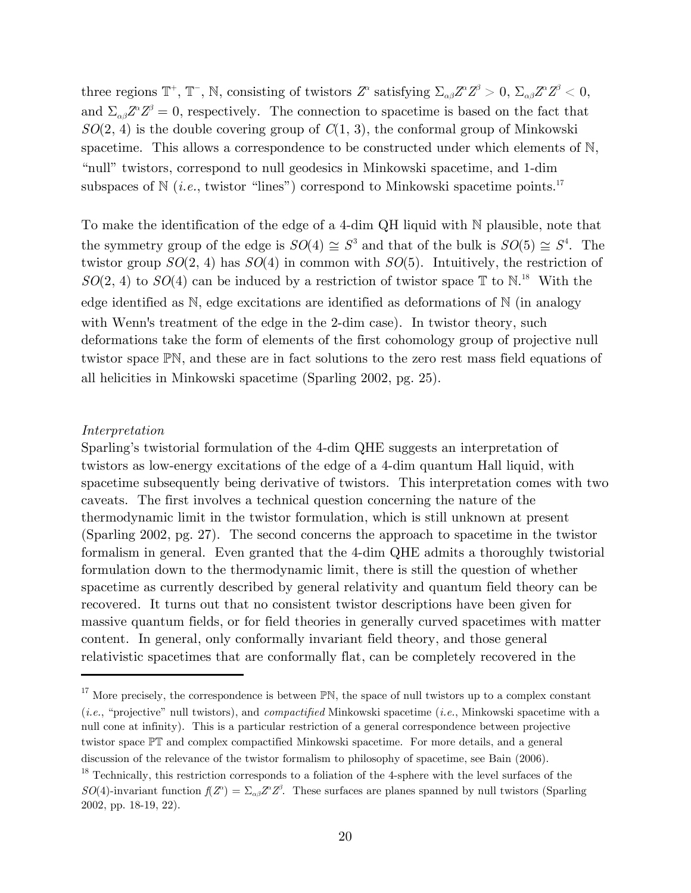$\text{there regions } \mathbb{T}^+, \mathbb{T}^-, \mathbb{N}, \text{consisting of twists } Z^{\alpha} \text{ satisfying } \Sigma_{\alpha\beta} Z^{\alpha} Z^{\beta} > 0, \, \Sigma_{\alpha\beta} Z^{\alpha} Z^{\beta} < 0,$ and  $\sum_{\alpha\beta} Z^{\alpha}Z^{\beta} = 0$ , respectively. The connection to spacetime is based on the fact that  $SO(2, 4)$  is the double covering group of  $C(1, 3)$ , the conformal group of Minkowski spacetime. This allows a correspondence to be constructed under which elements of N, "null" twistors, correspond to null geodesics in Minkowski spacetime, and 1-dim subspaces of  $N$  (*i.e.*, twistor "lines") correspond to Minkowski spacetime points.<sup>17</sup>

To make the identification of the edge of a 4-dim QH liquid with N plausible, note that the symmetry group of the edge is  $SO(4) \cong S^3$  and that of the bulk is  $SO(5) \cong S^4$ . The twistor group *SO*(2, 4) has *SO*(4) in common with *SO*(5). Intuitively, the restriction of  $SO(2, 4)$  to  $SO(4)$  can be induced by a restriction of twistor space  $\mathbb T$  to  $\mathbb N$ .<sup>18</sup> With the edge identified as  $\mathbb{N}$ , edge excitations are identified as deformations of  $\mathbb{N}$  (in analogy with Wenn's treatment of the edge in the 2-dim case). In twistor theory, such deformations take the form of elements of the first cohomology group of projective null twistor space PN, and these are in fact solutions to the zero rest mass field equations of all helicities in Minkowski spacetime (Sparling 2002, pg. 25).

#### *Interpretation*

Sparling's twistorial formulation of the 4-dim QHE suggests an interpretation of twistors as low-energy excitations of the edge of a 4-dim quantum Hall liquid, with spacetime subsequently being derivative of twistors. This interpretation comes with two caveats. The first involves a technical question concerning the nature of the thermodynamic limit in the twistor formulation, which is still unknown at present (Sparling 2002, pg. 27). The second concerns the approach to spacetime in the twistor formalism in general. Even granted that the 4-dim QHE admits a thoroughly twistorial formulation down to the thermodynamic limit, there is still the question of whether spacetime as currently described by general relativity and quantum field theory can be recovered. It turns out that no consistent twistor descriptions have been given for massive quantum fields, or for field theories in generally curved spacetimes with matter content. In general, only conformally invariant field theory, and those general relativistic spacetimes that are conformally flat, can be completely recovered in the

<sup>&</sup>lt;sup>17</sup> More precisely, the correspondence is between  $\mathbb{P}\mathbb{N}$ , the space of null twistors up to a complex constant (*i.e.*, "projective" null twistors), and *compactified* Minkowski spacetime (*i.e.*, Minkowski spacetime with a null cone at infinity). This is a particular restriction of a general correspondence between projective twistor space PT and complex compactified Minkowski spacetime. For more details, and a general discussion of the relevance of the twistor formalism to philosophy of spacetime, see Bain (2006).

<sup>&</sup>lt;sup>18</sup> Technically, this restriction corresponds to a foliation of the 4-sphere with the level surfaces of the *SO*(4)-invariant function  $f(Z^{\alpha}) = \sum_{\alpha\beta} Z^{\alpha} Z^{\beta}$ . These surfaces are planes spanned by null twistors (Sparling 2002, pp. 18-19, 22).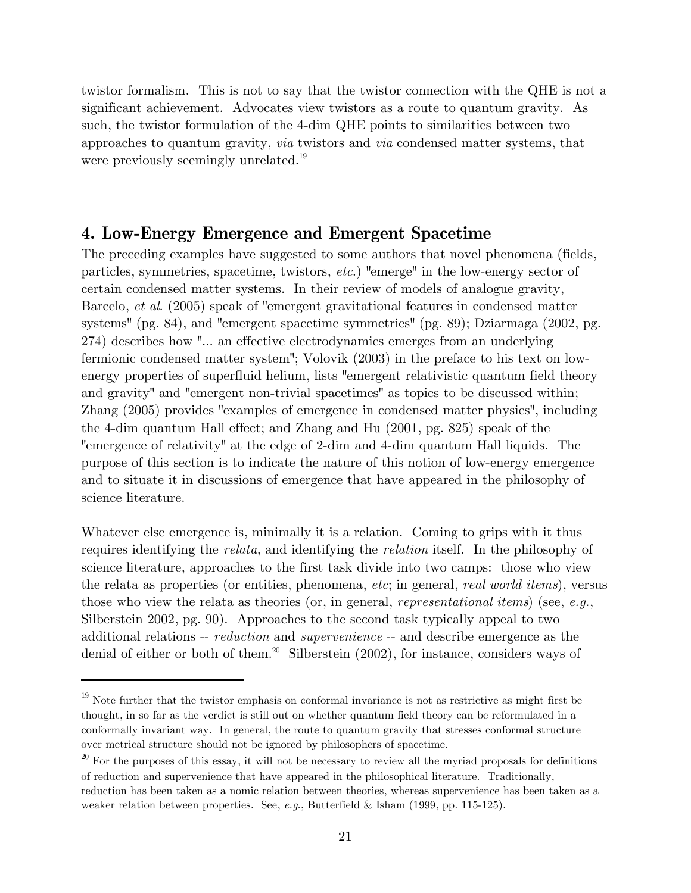twistor formalism. This is not to say that the twistor connection with the QHE is not a significant achievement. Advocates view twistors as a route to quantum gravity. As such, the twistor formulation of the 4-dim QHE points to similarities between two approaches to quantum gravity, *via* twistors and *via* condensed matter systems, that were previously seemingly unrelated.<sup>19</sup>

# **4. Low-Energy Emergence and Emergent Spacetime**

The preceding examples have suggested to some authors that novel phenomena (fields, particles, symmetries, spacetime, twistors, *etc*.) "emerge" in the low-energy sector of certain condensed matter systems. In their review of models of analogue gravity, Barcelo, *et al*. (2005) speak of "emergent gravitational features in condensed matter systems" (pg. 84), and "emergent spacetime symmetries" (pg. 89); Dziarmaga (2002, pg. 274) describes how "... an effective electrodynamics emerges from an underlying fermionic condensed matter system"; Volovik (2003) in the preface to his text on lowenergy properties of superfluid helium, lists "emergent relativistic quantum field theory and gravity" and "emergent non-trivial spacetimes" as topics to be discussed within; Zhang (2005) provides "examples of emergence in condensed matter physics", including the 4-dim quantum Hall effect; and Zhang and Hu (2001, pg. 825) speak of the "emergence of relativity" at the edge of 2-dim and 4-dim quantum Hall liquids. The purpose of this section is to indicate the nature of this notion of low-energy emergence and to situate it in discussions of emergence that have appeared in the philosophy of science literature.

Whatever else emergence is, minimally it is a relation. Coming to grips with it thus requires identifying the *relata*, and identifying the *relation* itself. In the philosophy of science literature, approaches to the first task divide into two camps: those who view the relata as properties (or entities, phenomena, *etc*; in general, *real world items*), versus those who view the relata as theories (or, in general, *representational items*) (see, *e.g.*, Silberstein 2002, pg. 90). Approaches to the second task typically appeal to two additional relations -- *reduction* and *supervenience* -- and describe emergence as the denial of either or both of them.<sup>20</sup> Silberstein (2002), for instance, considers ways of

<sup>&</sup>lt;sup>19</sup> Note further that the twistor emphasis on conformal invariance is not as restrictive as might first be thought, in so far as the verdict is still out on whether quantum field theory can be reformulated in a conformally invariant way. In general, the route to quantum gravity that stresses conformal structure over metrical structure should not be ignored by philosophers of spacetime.

 $^{20}$  For the purposes of this essay, it will not be necessary to review all the myriad proposals for definitions of reduction and supervenience that have appeared in the philosophical literature. Traditionally, reduction has been taken as a nomic relation between theories, whereas supervenience has been taken as a weaker relation between properties. See, *e.g*., Butterfield & Isham (1999, pp. 115-125).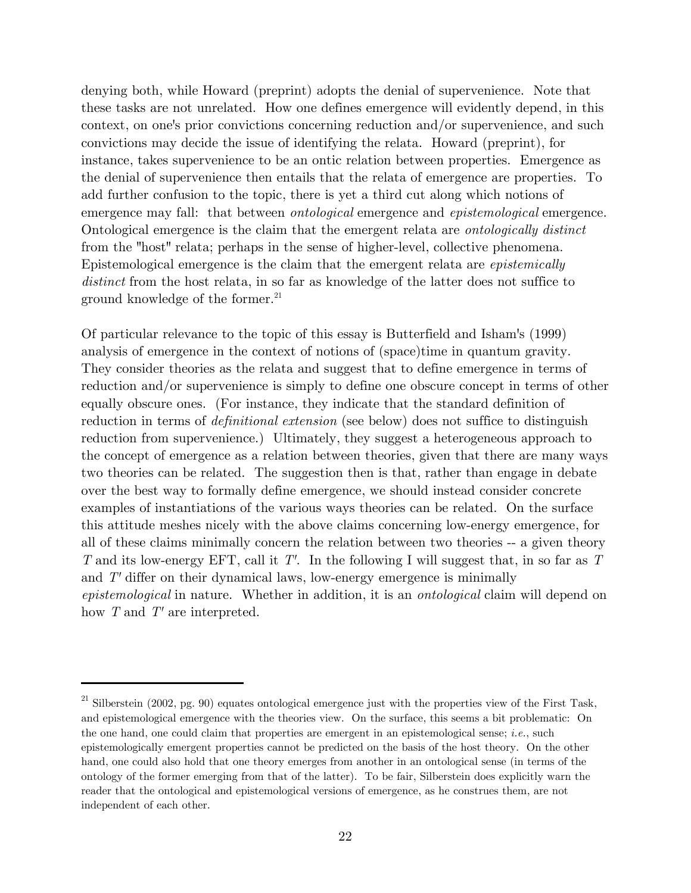denying both, while Howard (preprint) adopts the denial of supervenience. Note that these tasks are not unrelated. How one defines emergence will evidently depend, in this context, on one's prior convictions concerning reduction and/or supervenience, and such convictions may decide the issue of identifying the relata. Howard (preprint), for instance, takes supervenience to be an ontic relation between properties. Emergence as the denial of supervenience then entails that the relata of emergence are properties. To add further confusion to the topic, there is yet a third cut along which notions of emergence may fall: that between *ontological* emergence and *epistemological* emergence. Ontological emergence is the claim that the emergent relata are *ontologically distinct* from the "host" relata; perhaps in the sense of higher-level, collective phenomena. Epistemological emergence is the claim that the emergent relata are *epistemically* distinct from the host relata, in so far as knowledge of the latter does not suffice to ground knowledge of the former.<sup>21</sup>

Of particular relevance to the topic of this essay is Butterfield and Isham's (1999) analysis of emergence in the context of notions of (space)time in quantum gravity. They consider theories as the relata and suggest that to define emergence in terms of reduction and/or supervenience is simply to define one obscure concept in terms of other equally obscure ones. (For instance, they indicate that the standard definition of reduction in terms of *definitional extension* (see below) does not suffice to distinguish reduction from supervenience.) Ultimately, they suggest a heterogeneous approach to the concept of emergence as a relation between theories, given that there are many ways two theories can be related. The suggestion then is that, rather than engage in debate over the best way to formally define emergence, we should instead consider concrete examples of instantiations of the various ways theories can be related. On the surface this attitude meshes nicely with the above claims concerning low-energy emergence, for all of these claims minimally concern the relation between two theories -- a given theory *T* and its low-energy EFT, call it *T'*. In the following I will suggest that, in so far as *T* and *T'* differ on their dynamical laws, low-energy emergence is minimally *epistemological* in nature. Whether in addition, it is an *ontological* claim will depend on how *T* and *T'* are interpreted.

<sup>&</sup>lt;sup>21</sup> Silberstein (2002, pg. 90) equates ontological emergence just with the properties view of the First Task, and epistemological emergence with the theories view. On the surface, this seems a bit problematic: On the one hand, one could claim that properties are emergent in an epistemological sense; *i.e.*, such epistemologically emergent properties cannot be predicted on the basis of the host theory. On the other hand, one could also hold that one theory emerges from another in an ontological sense (in terms of the ontology of the former emerging from that of the latter). To be fair, Silberstein does explicitly warn the reader that the ontological and epistemological versions of emergence, as he construes them, are not independent of each other.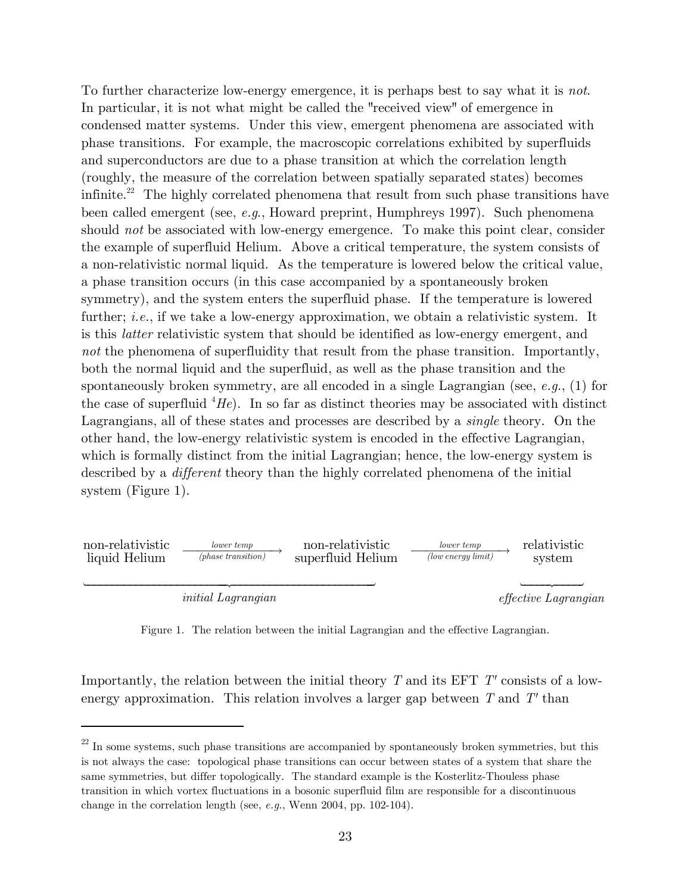To further characterize low-energy emergence, it is perhaps best to say what it is *not*. In particular, it is not what might be called the "received view" of emergence in condensed matter systems. Under this view, emergent phenomena are associated with phase transitions. For example, the macroscopic correlations exhibited by superfluids and superconductors are due to a phase transition at which the correlation length (roughly, the measure of the correlation between spatially separated states) becomes infinite.22 The highly correlated phenomena that result from such phase transitions have been called emergent (see, *e.g*., Howard preprint, Humphreys 1997). Such phenomena should *not* be associated with low-energy emergence. To make this point clear, consider the example of superfluid Helium. Above a critical temperature, the system consists of a non-relativistic normal liquid. As the temperature is lowered below the critical value, a phase transition occurs (in this case accompanied by a spontaneously broken symmetry), and the system enters the superfluid phase. If the temperature is lowered further; *i.e.*, if we take a low-energy approximation, we obtain a relativistic system. It is this *latter* relativistic system that should be identified as low-energy emergent, and *not* the phenomena of superfluidity that result from the phase transition. Importantly, both the normal liquid and the superfluid, as well as the phase transition and the spontaneously broken symmetry, are all encoded in a single Lagrangian (see, *e.g.*, (1) for the case of superfluid  ${}^{4}He$ ). In so far as distinct theories may be associated with distinct Lagrangians, all of these states and processes are described by a *single* theory. On the other hand, the low-energy relativistic system is encoded in the effective Lagrangian, which is formally distinct from the initial Lagrangian; hence, the low-energy system is described by a *different* theory than the highly correlated phenomena of the initial system (Figure 1).



Figure 1. The relation between the initial Lagrangian and the effective Lagrangian.

Importantly, the relation between the initial theory *T* and its EFT *T'* consists of a lowenergy approximation. This relation involves a larger gap between *T* and *T'* than

<sup>&</sup>lt;sup>22</sup> In some systems, such phase transitions are accompanied by spontaneously broken symmetries, but this is not always the case: topological phase transitions can occur between states of a system that share the same symmetries, but differ topologically. The standard example is the Kosterlitz-Thouless phase transition in which vortex fluctuations in a bosonic superfluid film are responsible for a discontinuous change in the correlation length (see, *e.g.*, Wenn 2004, pp. 102-104).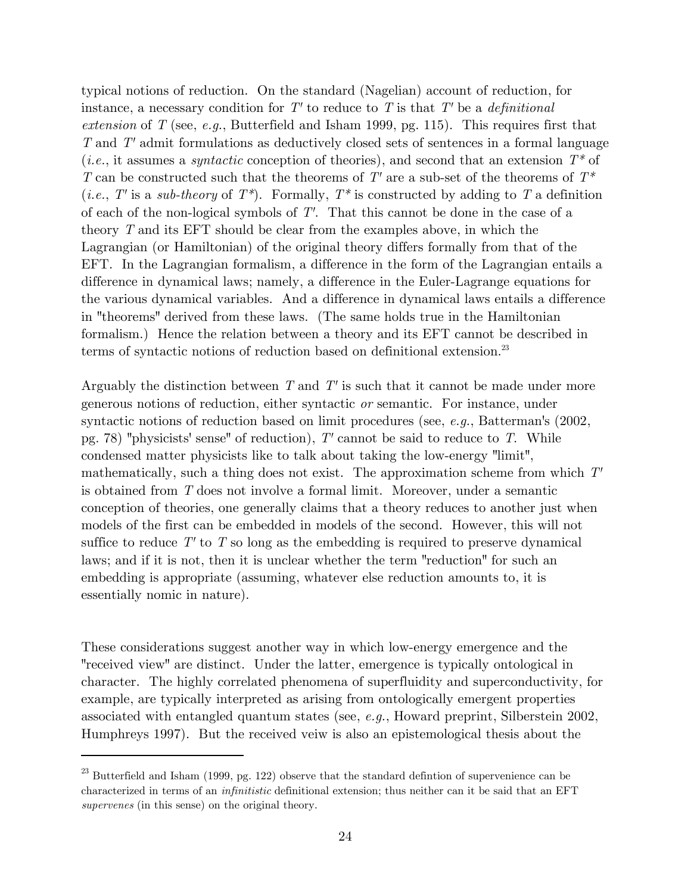typical notions of reduction. On the standard (Nagelian) account of reduction, for instance, a necessary condition for *T'* to reduce to *T* is that *T'* be a *definitional extension* of *T* (see, *e.g.*, Butterfield and Isham 1999, pg. 115). This requires first that *T* and *T'* admit formulations as deductively closed sets of sentences in a formal language (*i.e.*, it assumes a *syntactic* conception of theories), and second that an extension *T\** of *T* can be constructed such that the theorems of *T'* are a sub-set of the theorems of *T\** (*i.e.*, T' is a *sub-theory* of  $T^*$ ). Formally,  $T^*$  is constructed by adding to T a definition of each of the non-logical symbols of *T'*. That this cannot be done in the case of a theory *T* and its EFT should be clear from the examples above, in which the Lagrangian (or Hamiltonian) of the original theory differs formally from that of the EFT. In the Lagrangian formalism, a difference in the form of the Lagrangian entails a difference in dynamical laws; namely, a difference in the Euler-Lagrange equations for the various dynamical variables. And a difference in dynamical laws entails a difference in "theorems" derived from these laws. (The same holds true in the Hamiltonian formalism.) Hence the relation between a theory and its EFT cannot be described in terms of syntactic notions of reduction based on definitional extension.<sup>23</sup>

Arguably the distinction between *T* and *T'* is such that it cannot be made under more generous notions of reduction, either syntactic *or* semantic. For instance, under syntactic notions of reduction based on limit procedures (see, *e.g.*, Batterman's (2002, pg. 78) "physicists' sense" of reduction), *T'* cannot be said to reduce to *T*. While condensed matter physicists like to talk about taking the low-energy "limit", mathematically, such a thing does not exist. The approximation scheme from which *T'* is obtained from *T* does not involve a formal limit. Moreover, under a semantic conception of theories, one generally claims that a theory reduces to another just when models of the first can be embedded in models of the second. However, this will not suffice to reduce *T'* to *T* so long as the embedding is required to preserve dynamical laws; and if it is not, then it is unclear whether the term "reduction" for such an embedding is appropriate (assuming, whatever else reduction amounts to, it is essentially nomic in nature).

These considerations suggest another way in which low-energy emergence and the "received view" are distinct. Under the latter, emergence is typically ontological in character. The highly correlated phenomena of superfluidity and superconductivity, for example, are typically interpreted as arising from ontologically emergent properties associated with entangled quantum states (see, *e.g.*, Howard preprint, Silberstein 2002, Humphreys 1997). But the received veiw is also an epistemological thesis about the

 $^{23}$  Butterfield and Isham (1999, pg. 122) observe that the standard defintion of supervenience can be characterized in terms of an *infinitistic* definitional extension; thus neither can it be said that an EFT *supervenes* (in this sense) on the original theory.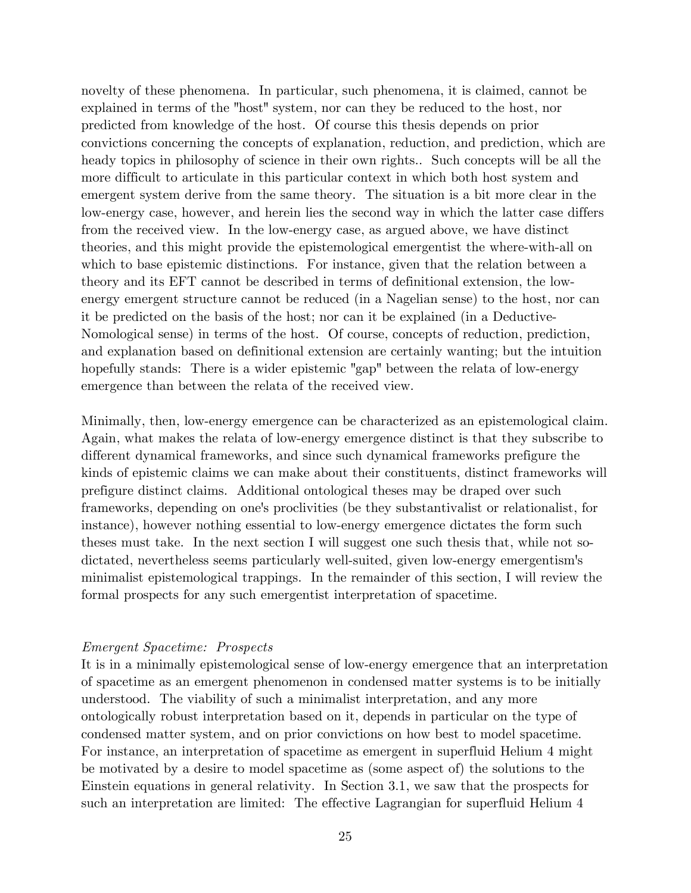novelty of these phenomena. In particular, such phenomena, it is claimed, cannot be explained in terms of the "host" system, nor can they be reduced to the host, nor predicted from knowledge of the host. Of course this thesis depends on prior convictions concerning the concepts of explanation, reduction, and prediction, which are heady topics in philosophy of science in their own rights.. Such concepts will be all the more difficult to articulate in this particular context in which both host system and emergent system derive from the same theory. The situation is a bit more clear in the low-energy case, however, and herein lies the second way in which the latter case differs from the received view. In the low-energy case, as argued above, we have distinct theories, and this might provide the epistemological emergentist the where-with-all on which to base epistemic distinctions. For instance, given that the relation between a theory and its EFT cannot be described in terms of definitional extension, the lowenergy emergent structure cannot be reduced (in a Nagelian sense) to the host, nor can it be predicted on the basis of the host; nor can it be explained (in a Deductive-Nomological sense) in terms of the host. Of course, concepts of reduction, prediction, and explanation based on definitional extension are certainly wanting; but the intuition hopefully stands: There is a wider epistemic "gap" between the relata of low-energy emergence than between the relata of the received view.

Minimally, then, low-energy emergence can be characterized as an epistemological claim. Again, what makes the relata of low-energy emergence distinct is that they subscribe to different dynamical frameworks, and since such dynamical frameworks prefigure the kinds of epistemic claims we can make about their constituents, distinct frameworks will prefigure distinct claims. Additional ontological theses may be draped over such frameworks, depending on one's proclivities (be they substantivalist or relationalist, for instance), however nothing essential to low-energy emergence dictates the form such theses must take. In the next section I will suggest one such thesis that, while not sodictated, nevertheless seems particularly well-suited, given low-energy emergentism's minimalist epistemological trappings. In the remainder of this section, I will review the formal prospects for any such emergentist interpretation of spacetime.

#### *Emergent Spacetime: Prospects*

It is in a minimally epistemological sense of low-energy emergence that an interpretation of spacetime as an emergent phenomenon in condensed matter systems is to be initially understood. The viability of such a minimalist interpretation, and any more ontologically robust interpretation based on it, depends in particular on the type of condensed matter system, and on prior convictions on how best to model spacetime. For instance, an interpretation of spacetime as emergent in superfluid Helium 4 might be motivated by a desire to model spacetime as (some aspect of) the solutions to the Einstein equations in general relativity. In Section 3.1, we saw that the prospects for such an interpretation are limited: The effective Lagrangian for superfluid Helium 4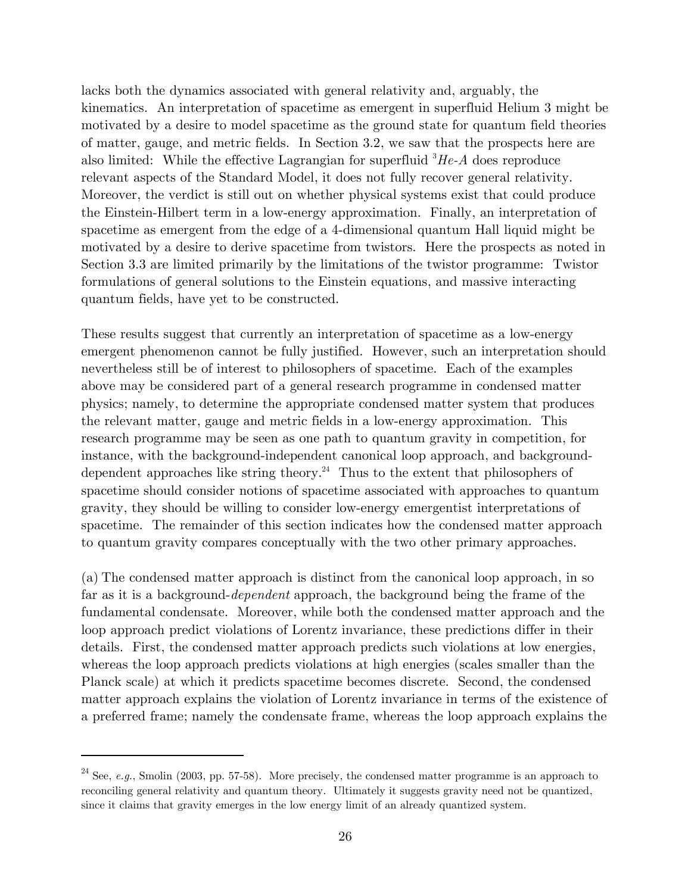lacks both the dynamics associated with general relativity and, arguably, the kinematics. An interpretation of spacetime as emergent in superfluid Helium 3 might be motivated by a desire to model spacetime as the ground state for quantum field theories of matter, gauge, and metric fields. In Section 3.2, we saw that the prospects here are also limited: While the effective Lagrangian for superfluid  ${}^{3}He$ -A does reproduce relevant aspects of the Standard Model, it does not fully recover general relativity. Moreover, the verdict is still out on whether physical systems exist that could produce the Einstein-Hilbert term in a low-energy approximation. Finally, an interpretation of spacetime as emergent from the edge of a 4-dimensional quantum Hall liquid might be motivated by a desire to derive spacetime from twistors. Here the prospects as noted in Section 3.3 are limited primarily by the limitations of the twistor programme: Twistor formulations of general solutions to the Einstein equations, and massive interacting quantum fields, have yet to be constructed.

These results suggest that currently an interpretation of spacetime as a low-energy emergent phenomenon cannot be fully justified. However, such an interpretation should nevertheless still be of interest to philosophers of spacetime. Each of the examples above may be considered part of a general research programme in condensed matter physics; namely, to determine the appropriate condensed matter system that produces the relevant matter, gauge and metric fields in a low-energy approximation. This research programme may be seen as one path to quantum gravity in competition, for instance, with the background-independent canonical loop approach, and backgrounddependent approaches like string theory.<sup>24</sup> Thus to the extent that philosophers of spacetime should consider notions of spacetime associated with approaches to quantum gravity, they should be willing to consider low-energy emergentist interpretations of spacetime. The remainder of this section indicates how the condensed matter approach to quantum gravity compares conceptually with the two other primary approaches.

(a) The condensed matter approach is distinct from the canonical loop approach, in so far as it is a background-*dependent* approach, the background being the frame of the fundamental condensate. Moreover, while both the condensed matter approach and the loop approach predict violations of Lorentz invariance, these predictions differ in their details. First, the condensed matter approach predicts such violations at low energies, whereas the loop approach predicts violations at high energies (scales smaller than the Planck scale) at which it predicts spacetime becomes discrete. Second, the condensed matter approach explains the violation of Lorentz invariance in terms of the existence of a preferred frame; namely the condensate frame, whereas the loop approach explains the

<sup>&</sup>lt;sup>24</sup> See, *e.g.*, Smolin (2003, pp. 57-58). More precisely, the condensed matter programme is an approach to reconciling general relativity and quantum theory. Ultimately it suggests gravity need not be quantized, since it claims that gravity emerges in the low energy limit of an already quantized system.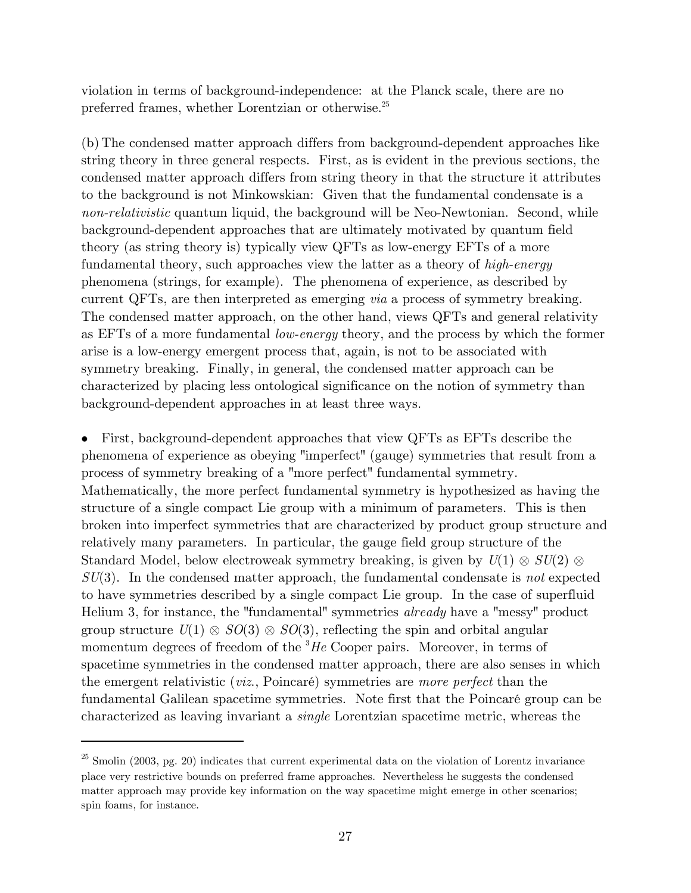violation in terms of background-independence: at the Planck scale, there are no preferred frames, whether Lorentzian or otherwise.<sup>25</sup>

(b) The condensed matter approach differs from background-dependent approaches like string theory in three general respects. First, as is evident in the previous sections, the condensed matter approach differs from string theory in that the structure it attributes to the background is not Minkowskian: Given that the fundamental condensate is a *non-relativistic* quantum liquid, the background will be Neo-Newtonian. Second, while background-dependent approaches that are ultimately motivated by quantum field theory (as string theory is) typically view QFTs as low-energy EFTs of a more fundamental theory, such approaches view the latter as a theory of *high-energy* phenomena (strings, for example). The phenomena of experience, as described by current QFTs, are then interpreted as emerging *via* a process of symmetry breaking. The condensed matter approach, on the other hand, views QFTs and general relativity as EFTs of a more fundamental *low-energy* theory, and the process by which the former arise is a low-energy emergent process that, again, is not to be associated with symmetry breaking. Finally, in general, the condensed matter approach can be characterized by placing less ontological significance on the notion of symmetry than background-dependent approaches in at least three ways.

• First, background-dependent approaches that view QFTs as EFTs describe the phenomena of experience as obeying "imperfect" (gauge) symmetries that result from a process of symmetry breaking of a "more perfect" fundamental symmetry. Mathematically, the more perfect fundamental symmetry is hypothesized as having the structure of a single compact Lie group with a minimum of parameters. This is then broken into imperfect symmetries that are characterized by product group structure and relatively many parameters. In particular, the gauge field group structure of the Standard Model, below electroweak symmetry breaking, is given by  $U(1) \otimes SU(2) \otimes$ *SU*(3). In the condensed matter approach, the fundamental condensate is *not* expected to have symmetries described by a single compact Lie group. In the case of superfluid Helium 3, for instance, the "fundamental" symmetries *already* have a "messy" product group structure  $U(1) \otimes SO(3) \otimes SO(3)$ , reflecting the spin and orbital angular momentum degrees of freedom of the <sup>3</sup>He Cooper pairs. Moreover, in terms of spacetime symmetries in the condensed matter approach, there are also senses in which the emergent relativistic (*viz*., Poincaré) symmetries are *more perfect* than the fundamental Galilean spacetime symmetries. Note first that the Poincaré group can be characterized as leaving invariant a *single* Lorentzian spacetime metric, whereas the

<sup>&</sup>lt;sup>25</sup> Smolin (2003, pg. 20) indicates that current experimental data on the violation of Lorentz invariance place very restrictive bounds on preferred frame approaches. Nevertheless he suggests the condensed matter approach may provide key information on the way spacetime might emerge in other scenarios; spin foams, for instance.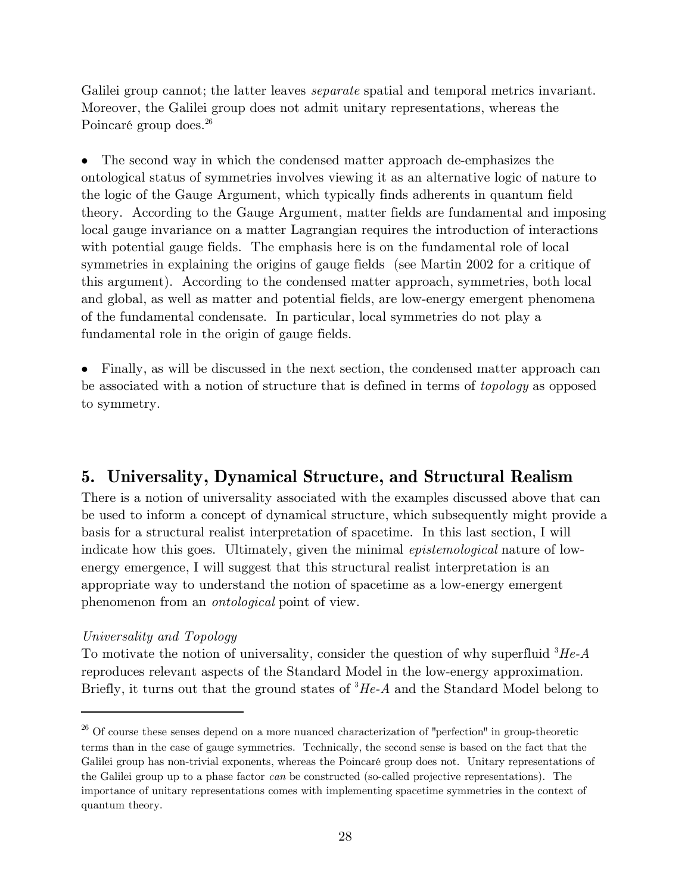Galilei group cannot; the latter leaves *separate* spatial and temporal metrics invariant. Moreover, the Galilei group does not admit unitary representations, whereas the Poincaré group does.<sup>26</sup>

The second way in which the condensed matter approach de-emphasizes the ontological status of symmetries involves viewing it as an alternative logic of nature to the logic of the Gauge Argument, which typically finds adherents in quantum field theory. According to the Gauge Argument, matter fields are fundamental and imposing local gauge invariance on a matter Lagrangian requires the introduction of interactions with potential gauge fields. The emphasis here is on the fundamental role of local symmetries in explaining the origins of gauge fields (see Martin 2002 for a critique of this argument). According to the condensed matter approach, symmetries, both local and global, as well as matter and potential fields, are low-energy emergent phenomena of the fundamental condensate. In particular, local symmetries do not play a fundamental role in the origin of gauge fields.

• Finally, as will be discussed in the next section, the condensed matter approach can be associated with a notion of structure that is defined in terms of *topology* as opposed to symmetry.

# **5. Universality, Dynamical Structure, and Structural Realism**

There is a notion of universality associated with the examples discussed above that can be used to inform a concept of dynamical structure, which subsequently might provide a basis for a structural realist interpretation of spacetime. In this last section, I will indicate how this goes. Ultimately, given the minimal *epistemological* nature of lowenergy emergence, I will suggest that this structural realist interpretation is an appropriate way to understand the notion of spacetime as a low-energy emergent phenomenon from an *ontological* point of view.

### *Universality and Topology*

To motivate the notion of universality, consider the question of why superfluid <sup>3</sup>He-A reproduces relevant aspects of the Standard Model in the low-energy approximation. Briefly, it turns out that the ground states of <sup>3</sup>He-A and the Standard Model belong to

 <sup>26</sup> Of course these senses depend on a more nuanced characterization of "perfection" in group-theoretic terms than in the case of gauge symmetries. Technically, the second sense is based on the fact that the Galilei group has non-trivial exponents, whereas the Poincaré group does not. Unitary representations of the Galilei group up to a phase factor *can* be constructed (so-called projective representations). The importance of unitary representations comes with implementing spacetime symmetries in the context of quantum theory.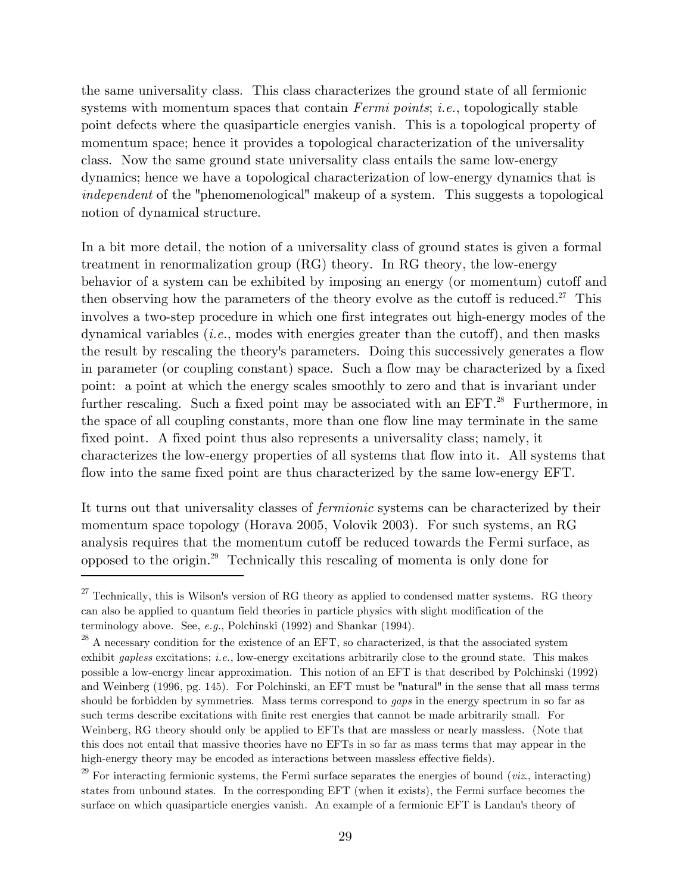the same universality class. This class characterizes the ground state of all fermionic systems with momentum spaces that contain *Fermi points*; *i.e.*, topologically stable point defects where the quasiparticle energies vanish. This is a topological property of momentum space; hence it provides a topological characterization of the universality class. Now the same ground state universality class entails the same low-energy dynamics; hence we have a topological characterization of low-energy dynamics that is *independent* of the "phenomenological" makeup of a system. This suggests a topological notion of dynamical structure.

In a bit more detail, the notion of a universality class of ground states is given a formal treatment in renormalization group (RG) theory. In RG theory, the low-energy behavior of a system can be exhibited by imposing an energy (or momentum) cutoff and then observing how the parameters of the theory evolve as the cutoff is reduced.<sup>27</sup> This involves a two-step procedure in which one first integrates out high-energy modes of the dynamical variables (*i.e.*, modes with energies greater than the cutoff), and then masks the result by rescaling the theory's parameters. Doing this successively generates a flow in parameter (or coupling constant) space. Such a flow may be characterized by a fixed point: a point at which the energy scales smoothly to zero and that is invariant under further rescaling. Such a fixed point may be associated with an  $EFT.^{28}$  Furthermore, in the space of all coupling constants, more than one flow line may terminate in the same fixed point. A fixed point thus also represents a universality class; namely, it characterizes the low-energy properties of all systems that flow into it. All systems that flow into the same fixed point are thus characterized by the same low-energy EFT.

It turns out that universality classes of *fermionic* systems can be characterized by their momentum space topology (Horava 2005, Volovik 2003). For such systems, an RG analysis requires that the momentum cutoff be reduced towards the Fermi surface, as opposed to the origin.29 Technically this rescaling of momenta is only done for

<sup>&</sup>lt;sup>27</sup> Technically, this is Wilson's version of RG theory as applied to condensed matter systems. RG theory can also be applied to quantum field theories in particle physics with slight modification of the terminology above. See, *e.g.*, Polchinski (1992) and Shankar (1994).

 $^{28}$  A necessary condition for the existence of an EFT, so characterized, is that the associated system exhibit *gapless* excitations; *i.e.*, low-energy excitations arbitrarily close to the ground state. This makes possible a low-energy linear approximation. This notion of an EFT is that described by Polchinski (1992) and Weinberg (1996, pg. 145). For Polchinski, an EFT must be "natural" in the sense that all mass terms should be forbidden by symmetries. Mass terms correspond to *gaps* in the energy spectrum in so far as such terms describe excitations with finite rest energies that cannot be made arbitrarily small. For Weinberg, RG theory should only be applied to EFTs that are massless or nearly massless. (Note that this does not entail that massive theories have no EFTs in so far as mass terms that may appear in the high-energy theory may be encoded as interactions between massless effective fields).

 $^{29}$  For interacting fermionic systems, the Fermi surface separates the energies of bound (*viz.*, interacting) states from unbound states. In the corresponding EFT (when it exists), the Fermi surface becomes the surface on which quasiparticle energies vanish. An example of a fermionic EFT is Landau's theory of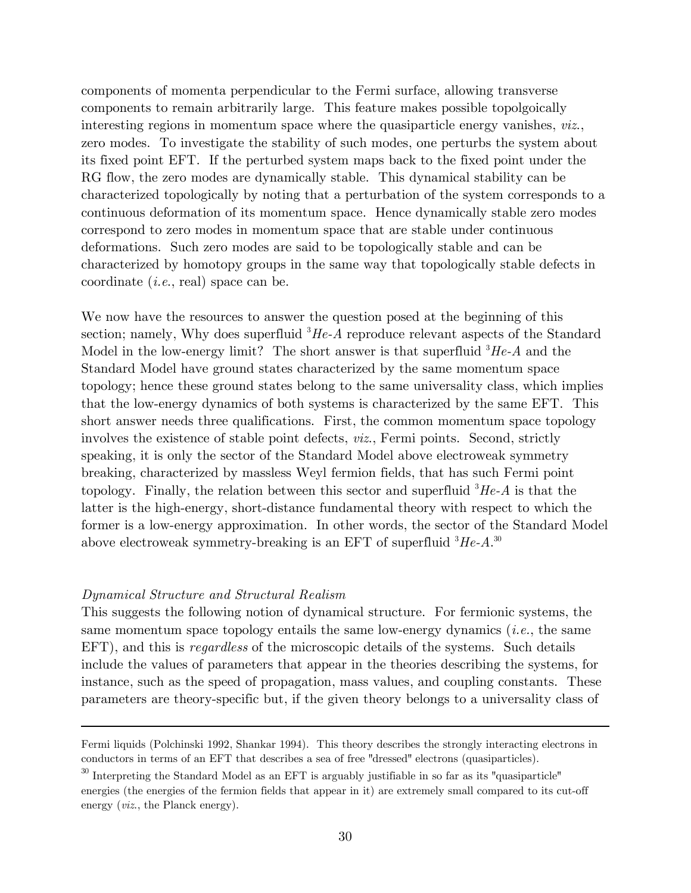components of momenta perpendicular to the Fermi surface, allowing transverse components to remain arbitrarily large. This feature makes possible topolgoically interesting regions in momentum space where the quasiparticle energy vanishes, *viz*., zero modes. To investigate the stability of such modes, one perturbs the system about its fixed point EFT. If the perturbed system maps back to the fixed point under the RG flow, the zero modes are dynamically stable. This dynamical stability can be characterized topologically by noting that a perturbation of the system corresponds to a continuous deformation of its momentum space. Hence dynamically stable zero modes correspond to zero modes in momentum space that are stable under continuous deformations. Such zero modes are said to be topologically stable and can be characterized by homotopy groups in the same way that topologically stable defects in coordinate (*i.e*., real) space can be.

We now have the resources to answer the question posed at the beginning of this section; namely, Why does superfluid <sup>3</sup>He-A reproduce relevant aspects of the Standard Model in the low-energy limit? The short answer is that superfluid <sup>3</sup>He-A and the Standard Model have ground states characterized by the same momentum space topology; hence these ground states belong to the same universality class, which implies that the low-energy dynamics of both systems is characterized by the same EFT. This short answer needs three qualifications. First, the common momentum space topology involves the existence of stable point defects, *viz*., Fermi points. Second, strictly speaking, it is only the sector of the Standard Model above electroweak symmetry breaking, characterized by massless Weyl fermion fields, that has such Fermi point topology. Finally, the relation between this sector and superfluid <sup>3</sup>He-A is that the latter is the high-energy, short-distance fundamental theory with respect to which the former is a low-energy approximation. In other words, the sector of the Standard Model above electroweak symmetry-breaking is an EFT of superfluid <sup>3</sup>He-A.<sup>30</sup>

#### *Dynamical Structure and Structural Realism*

I

This suggests the following notion of dynamical structure. For fermionic systems, the same momentum space topology entails the same low-energy dynamics (*i.e.*, the same EFT), and this is *regardless* of the microscopic details of the systems. Such details include the values of parameters that appear in the theories describing the systems, for instance, such as the speed of propagation, mass values, and coupling constants. These parameters are theory-specific but, if the given theory belongs to a universality class of

Fermi liquids (Polchinski 1992, Shankar 1994). This theory describes the strongly interacting electrons in conductors in terms of an EFT that describes a sea of free "dressed" electrons (quasiparticles).

 $30$  Interpreting the Standard Model as an EFT is arguably justifiable in so far as its "quasiparticle" energies (the energies of the fermion fields that appear in it) are extremely small compared to its cut-off energy (*viz*., the Planck energy).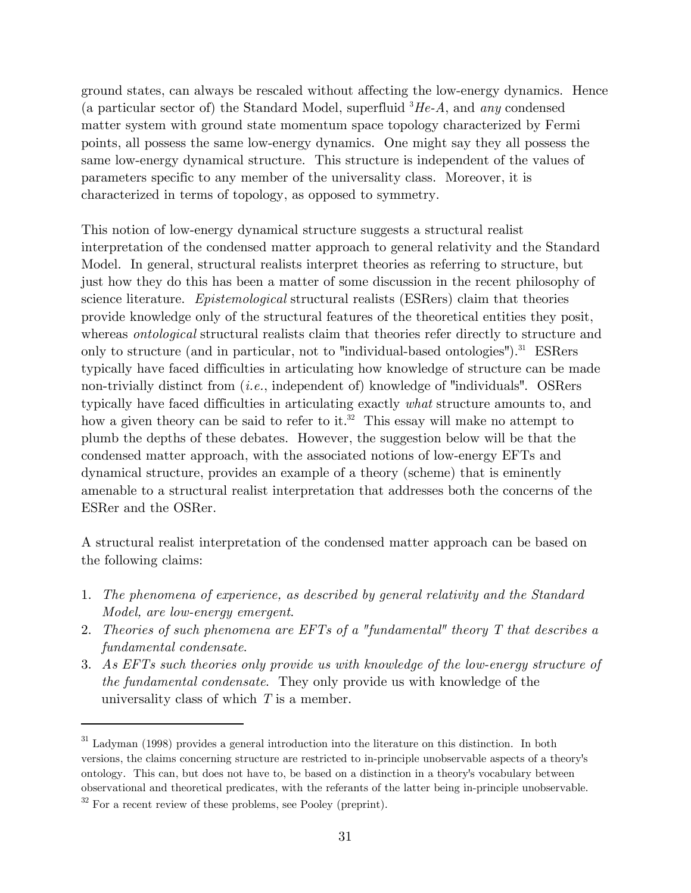ground states, can always be rescaled without affecting the low-energy dynamics. Hence (a particular sector of) the Standard Model, superfluid 3 *He-A*, and *any* condensed matter system with ground state momentum space topology characterized by Fermi points, all possess the same low-energy dynamics. One might say they all possess the same low-energy dynamical structure. This structure is independent of the values of parameters specific to any member of the universality class. Moreover, it is characterized in terms of topology, as opposed to symmetry.

This notion of low-energy dynamical structure suggests a structural realist interpretation of the condensed matter approach to general relativity and the Standard Model. In general, structural realists interpret theories as referring to structure, but just how they do this has been a matter of some discussion in the recent philosophy of science literature. *Epistemological* structural realists (ESRers) claim that theories provide knowledge only of the structural features of the theoretical entities they posit, whereas *ontological* structural realists claim that theories refer directly to structure and only to structure (and in particular, not to "individual-based ontologies").<sup>31</sup> ESRers typically have faced difficulties in articulating how knowledge of structure can be made non-trivially distinct from (*i.e.*, independent of) knowledge of "individuals". OSRers typically have faced difficulties in articulating exactly *what* structure amounts to, and how a given theory can be said to refer to it.<sup>32</sup> This essay will make no attempt to plumb the depths of these debates. However, the suggestion below will be that the condensed matter approach, with the associated notions of low-energy EFTs and dynamical structure, provides an example of a theory (scheme) that is eminently amenable to a structural realist interpretation that addresses both the concerns of the ESRer and the OSRer.

A structural realist interpretation of the condensed matter approach can be based on the following claims:

- 1. *The phenomena of experience, as described by general relativity and the Standard Model, are low-energy emergent*.
- 2. *Theories of such phenomena are EFTs of a "fundamental" theory T that describes a fundamental condensate*.
- 3. *As EFTs such theories only provide us with knowledge of the low-energy structure of the fundamental condensate*. They only provide us with knowledge of the universality class of which *T* is a member.

<sup>&</sup>lt;sup>31</sup> Ladyman (1998) provides a general introduction into the literature on this distinction. In both versions, the claims concerning structure are restricted to in-principle unobservable aspects of a theory's ontology. This can, but does not have to, be based on a distinction in a theory's vocabulary between observational and theoretical predicates, with the referants of the latter being in-principle unobservable.  $32$  For a recent review of these problems, see Pooley (preprint).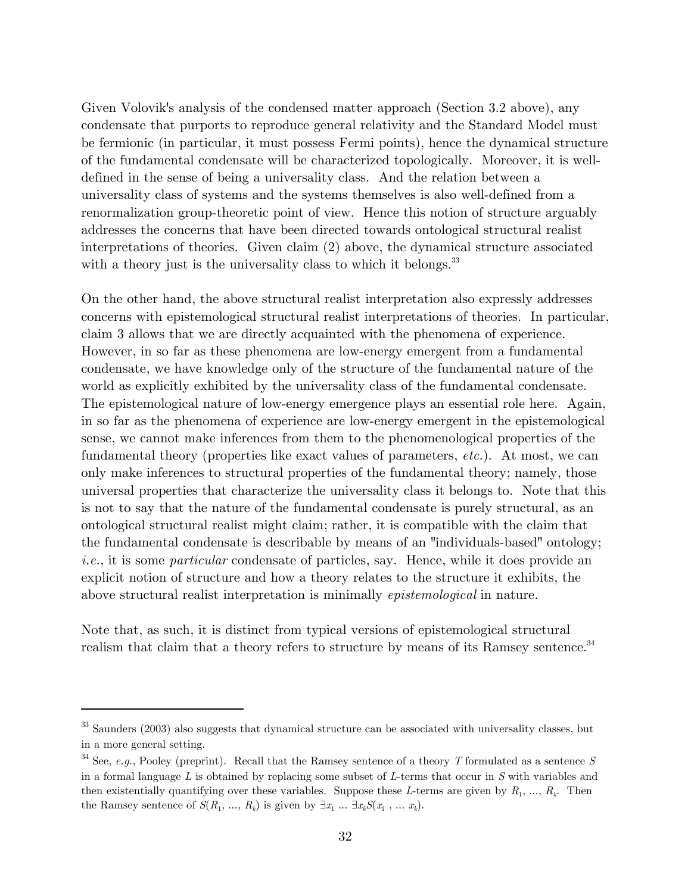Given Volovik's analysis of the condensed matter approach (Section 3.2 above), any condensate that purports to reproduce general relativity and the Standard Model must be fermionic (in particular, it must possess Fermi points), hence the dynamical structure of the fundamental condensate will be characterized topologically. Moreover, it is welldefined in the sense of being a universality class. And the relation between a universality class of systems and the systems themselves is also well-defined from a renormalization group-theoretic point of view. Hence this notion of structure arguably addresses the concerns that have been directed towards ontological structural realist interpretations of theories. Given claim (2) above, the dynamical structure associated with a theory just is the universality class to which it belongs.<sup>33</sup>

On the other hand, the above structural realist interpretation also expressly addresses concerns with epistemological structural realist interpretations of theories. In particular, claim 3 allows that we are directly acquainted with the phenomena of experience. However, in so far as these phenomena are low-energy emergent from a fundamental condensate, we have knowledge only of the structure of the fundamental nature of the world as explicitly exhibited by the universality class of the fundamental condensate. The epistemological nature of low-energy emergence plays an essential role here. Again, in so far as the phenomena of experience are low-energy emergent in the epistemological sense, we cannot make inferences from them to the phenomenological properties of the fundamental theory (properties like exact values of parameters, *etc*.). At most, we can only make inferences to structural properties of the fundamental theory; namely, those universal properties that characterize the universality class it belongs to. Note that this is not to say that the nature of the fundamental condensate is purely structural, as an ontological structural realist might claim; rather, it is compatible with the claim that the fundamental condensate is describable by means of an "individuals-based" ontology; *i.e.*, it is some *particular* condensate of particles, say. Hence, while it does provide an explicit notion of structure and how a theory relates to the structure it exhibits, the above structural realist interpretation is minimally *epistemological* in nature.

Note that, as such, it is distinct from typical versions of epistemological structural realism that claim that a theory refers to structure by means of its Ramsey sentence.<sup>34</sup>

 <sup>33</sup> Saunders (2003) also suggests that dynamical structure can be associated with universality classes, but in a more general setting.

<sup>34</sup> See, *e.g.*, Pooley (preprint). Recall that the Ramsey sentence of a theory *T* formulated as a sentence *S* in a formal language *L* is obtained by replacing some subset of *L*-terms that occur in *S* with variables and then existentially quantifying over these variables. Suppose these *L*-terms are given by  $R_1, ..., R_k$ . Then the Ramsey sentence of  $S(R_1, ..., R_k)$  is given by  $\exists x_1 ... \exists x_k S(x_1, ..., x_k)$ .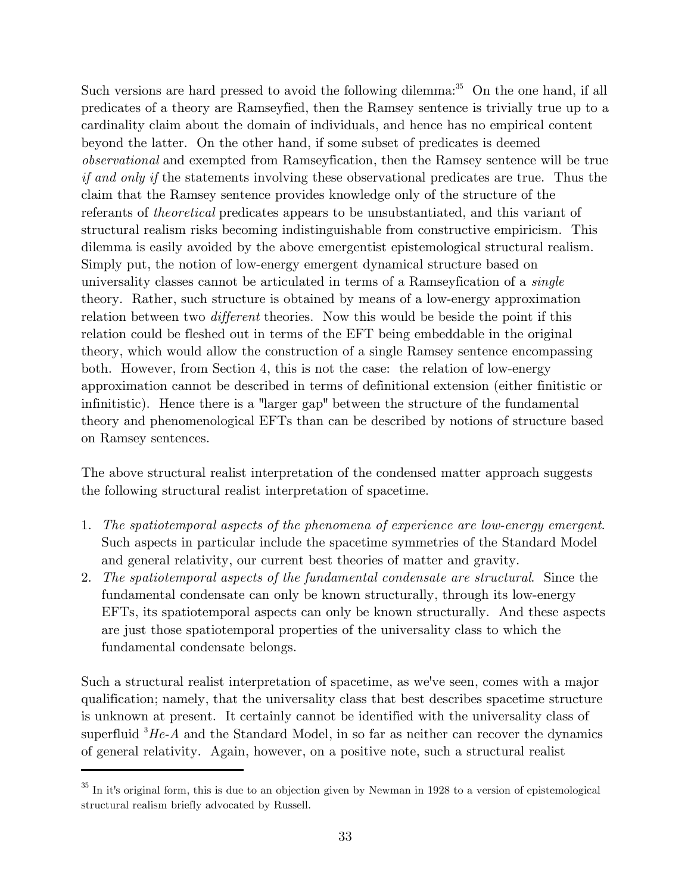Such versions are hard pressed to avoid the following dilemma: $35$  On the one hand, if all predicates of a theory are Ramseyfied, then the Ramsey sentence is trivially true up to a cardinality claim about the domain of individuals, and hence has no empirical content beyond the latter. On the other hand, if some subset of predicates is deemed *observational* and exempted from Ramseyfication, then the Ramsey sentence will be true *if and only if* the statements involving these observational predicates are true. Thus the claim that the Ramsey sentence provides knowledge only of the structure of the referants of *theoretical* predicates appears to be unsubstantiated, and this variant of structural realism risks becoming indistinguishable from constructive empiricism. This dilemma is easily avoided by the above emergentist epistemological structural realism. Simply put, the notion of low-energy emergent dynamical structure based on universality classes cannot be articulated in terms of a Ramseyfication of a *single* theory. Rather, such structure is obtained by means of a low-energy approximation relation between two *different* theories. Now this would be beside the point if this relation could be fleshed out in terms of the EFT being embeddable in the original theory, which would allow the construction of a single Ramsey sentence encompassing both. However, from Section 4, this is not the case: the relation of low-energy approximation cannot be described in terms of definitional extension (either finitistic or infinitistic). Hence there is a "larger gap" between the structure of the fundamental theory and phenomenological EFTs than can be described by notions of structure based on Ramsey sentences.

The above structural realist interpretation of the condensed matter approach suggests the following structural realist interpretation of spacetime.

- 1. *The spatiotemporal aspects of the phenomena of experience are low-energy emergent*. Such aspects in particular include the spacetime symmetries of the Standard Model and general relativity, our current best theories of matter and gravity.
- 2. *The spatiotemporal aspects of the fundamental condensate are structural*. Since the fundamental condensate can only be known structurally, through its low-energy EFTs, its spatiotemporal aspects can only be known structurally. And these aspects are just those spatiotemporal properties of the universality class to which the fundamental condensate belongs.

Such a structural realist interpretation of spacetime, as we've seen, comes with a major qualification; namely, that the universality class that best describes spacetime structure is unknown at present. It certainly cannot be identified with the universality class of superfluid <sup>3</sup>He-A and the Standard Model, in so far as neither can recover the dynamics of general relativity. Again, however, on a positive note, such a structural realist

 <sup>35</sup> In it's original form, this is due to an objection given by Newman in 1928 to a version of epistemological structural realism briefly advocated by Russell.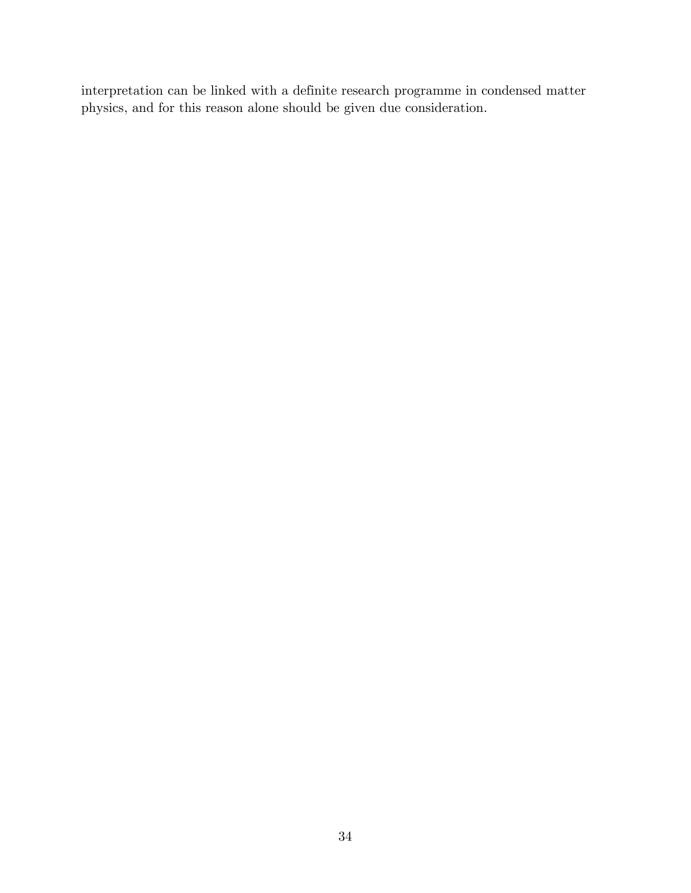interpretation can be linked with a definite research programme in condensed matter physics, and for this reason alone should be given due consideration.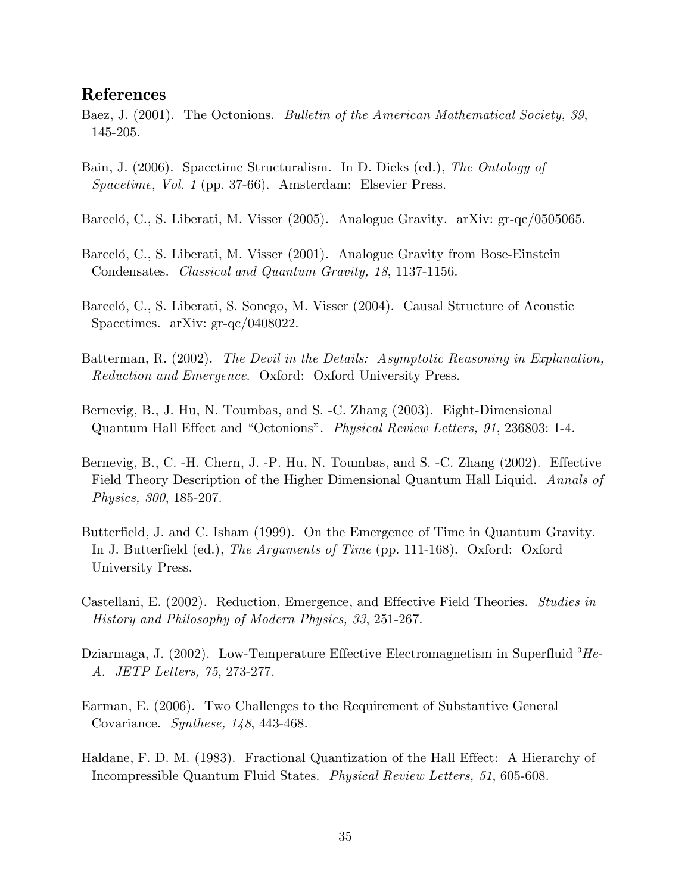# **References**

- Baez, J. (2001). The Octonions. *Bulletin of the American Mathematical Society, 39*, 145-205.
- Bain, J. (2006). Spacetime Structuralism. In D. Dieks (ed.), *The Ontology of Spacetime, Vol. 1* (pp. 37-66). Amsterdam: Elsevier Press.
- Barceló, C., S. Liberati, M. Visser (2005). Analogue Gravity. arXiv: gr-qc/0505065.
- Barceló, C., S. Liberati, M. Visser (2001). Analogue Gravity from Bose-Einstein Condensates. *Classical and Quantum Gravity, 18*, 1137-1156.
- Barceló, C., S. Liberati, S. Sonego, M. Visser (2004). Causal Structure of Acoustic Spacetimes. arXiv: gr-qc/0408022.
- Batterman, R. (2002). *The Devil in the Details: Asymptotic Reasoning in Explanation, Reduction and Emergence*. Oxford: Oxford University Press.
- Bernevig, B., J. Hu, N. Toumbas, and S. -C. Zhang (2003). Eight-Dimensional Quantum Hall Effect and "Octonions". *Physical Review Letters, 91*, 236803: 1-4.
- Bernevig, B., C. -H. Chern, J. -P. Hu, N. Toumbas, and S. -C. Zhang (2002). Effective Field Theory Description of the Higher Dimensional Quantum Hall Liquid. *Annals of Physics, 300*, 185-207.
- Butterfield, J. and C. Isham (1999). On the Emergence of Time in Quantum Gravity. In J. Butterfield (ed.), *The Arguments of Time* (pp. 111-168). Oxford: Oxford University Press.
- Castellani, E. (2002). Reduction, Emergence, and Effective Field Theories. *Studies in History and Philosophy of Modern Physics, 33*, 251-267.
- Dziarmaga, J. (2002). Low-Temperature Effective Electromagnetism in Superfluid <sup>3</sup>He-*A*. *JETP Letters, 75*, 273-277.
- Earman, E. (2006). Two Challenges to the Requirement of Substantive General Covariance. *Synthese, 148*, 443-468.
- Haldane, F. D. M. (1983). Fractional Quantization of the Hall Effect: A Hierarchy of Incompressible Quantum Fluid States. *Physical Review Letters, 51*, 605-608.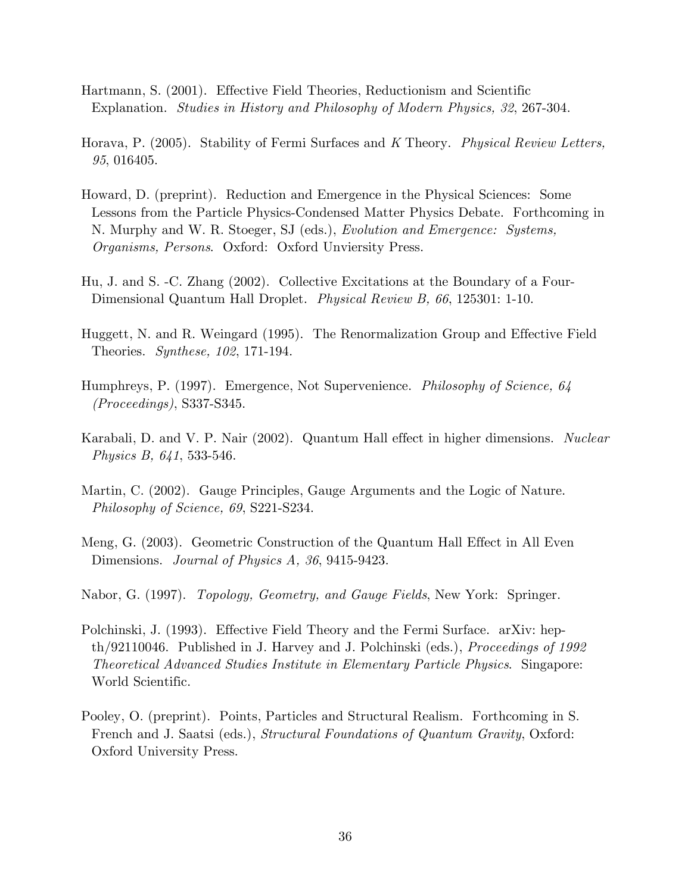- Hartmann, S. (2001). Effective Field Theories, Reductionism and Scientific Explanation. *Studies in History and Philosophy of Modern Physics, 32*, 267-304.
- Horava, P. (2005). Stability of Fermi Surfaces and *K* Theory. *Physical Review Letters, 95*, 016405.
- Howard, D. (preprint). Reduction and Emergence in the Physical Sciences: Some Lessons from the Particle Physics-Condensed Matter Physics Debate. Forthcoming in N. Murphy and W. R. Stoeger, SJ (eds.), *Evolution and Emergence: Systems, Organisms, Persons*. Oxford: Oxford Unviersity Press.
- Hu, J. and S. -C. Zhang (2002). Collective Excitations at the Boundary of a Four-Dimensional Quantum Hall Droplet. *Physical Review B, 66*, 125301: 1-10.
- Huggett, N. and R. Weingard (1995). The Renormalization Group and Effective Field Theories. *Synthese, 102*, 171-194.
- Humphreys, P. (1997). Emergence, Not Supervenience. *Philosophy of Science, 64 (Proceedings)*, S337-S345.
- Karabali, D. and V. P. Nair (2002). Quantum Hall effect in higher dimensions. *Nuclear Physics B, 641*, 533-546.
- Martin, C. (2002). Gauge Principles, Gauge Arguments and the Logic of Nature. *Philosophy of Science, 69*, S221-S234.
- Meng, G. (2003). Geometric Construction of the Quantum Hall Effect in All Even Dimensions. *Journal of Physics A, 36*, 9415-9423.
- Nabor, G. (1997). *Topology, Geometry, and Gauge Fields*, New York: Springer.
- Polchinski, J. (1993). Effective Field Theory and the Fermi Surface. arXiv: hepth/92110046. Published in J. Harvey and J. Polchinski (eds.), *Proceedings of 1992 Theoretical Advanced Studies Institute in Elementary Particle Physics*. Singapore: World Scientific.
- Pooley, O. (preprint). Points, Particles and Structural Realism. Forthcoming in S. French and J. Saatsi (eds.), *Structural Foundations of Quantum Gravity*, Oxford: Oxford University Press.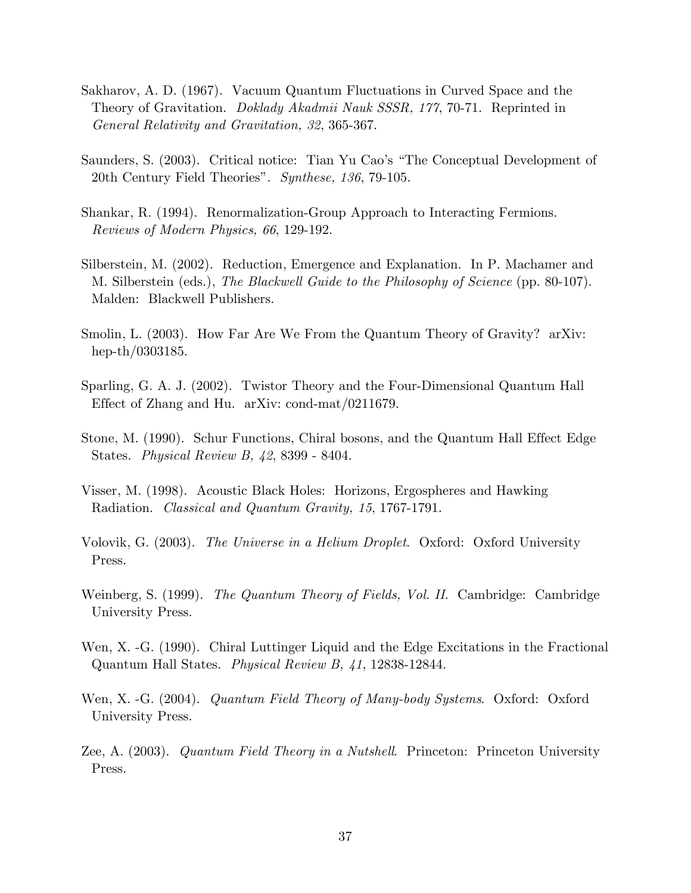- Sakharov, A. D. (1967). Vacuum Quantum Fluctuations in Curved Space and the Theory of Gravitation. *Doklady Akadmii Nauk SSSR, 177*, 70-71. Reprinted in *General Relativity and Gravitation, 32*, 365-367.
- Saunders, S. (2003). Critical notice: Tian Yu Cao's "The Conceptual Development of 20th Century Field Theories". *Synthese, 136*, 79-105.
- Shankar, R. (1994). Renormalization-Group Approach to Interacting Fermions. *Reviews of Modern Physics, 66*, 129-192.
- Silberstein, M. (2002). Reduction, Emergence and Explanation. In P. Machamer and M. Silberstein (eds.), *The Blackwell Guide to the Philosophy of Science* (pp. 80-107). Malden: Blackwell Publishers.
- Smolin, L. (2003). How Far Are We From the Quantum Theory of Gravity? arXiv: hep-th/0303185.
- Sparling, G. A. J. (2002). Twistor Theory and the Four-Dimensional Quantum Hall Effect of Zhang and Hu. arXiv: cond-mat/0211679.
- Stone, M. (1990). Schur Functions, Chiral bosons, and the Quantum Hall Effect Edge States. *Physical Review B, 42*, 8399 - 8404.
- Visser, M. (1998). Acoustic Black Holes: Horizons, Ergospheres and Hawking Radiation. *Classical and Quantum Gravity, 15*, 1767-1791.
- Volovik, G. (2003). *The Universe in a Helium Droplet*. Oxford: Oxford University Press.
- Weinberg, S. (1999). *The Quantum Theory of Fields, Vol. II*. Cambridge: Cambridge University Press.
- Wen, X. -G. (1990). Chiral Luttinger Liquid and the Edge Excitations in the Fractional Quantum Hall States. *Physical Review B, 41*, 12838-12844.
- Wen, X. -G. (2004). *Quantum Field Theory of Many-body Systems*. Oxford: Oxford University Press.
- Zee, A. (2003). *Quantum Field Theory in a Nutshell*. Princeton: Princeton University Press.